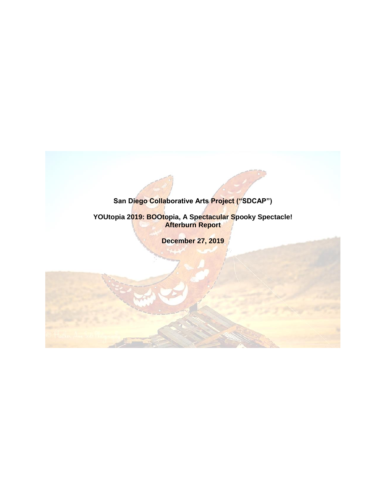# **San Diego Collaborative Arts Project ("SDCAP")**

**YOUtopia 2019: BOOtopia, A Spectacular Spooky Spectacle! Afterburn Report**

**December 27, 2019**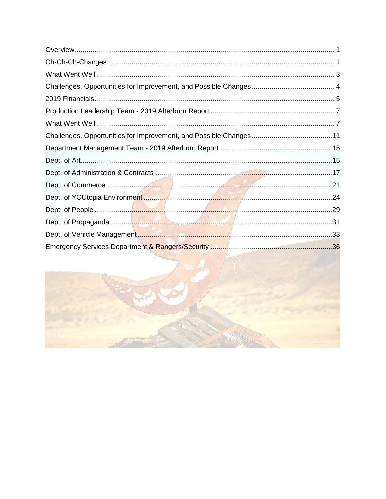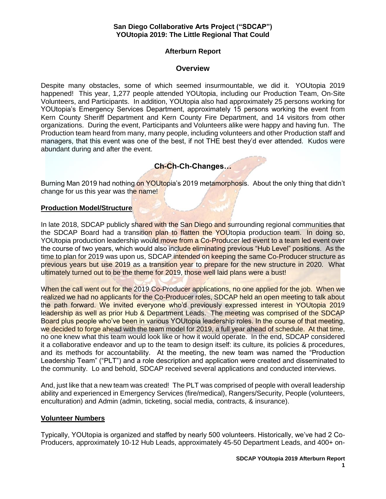### **San Diego Collaborative Arts Project ("SDCAP") YOUtopia 2019: The Little Regional That Could**

## **Afterburn Report**

### **Overview**

<span id="page-2-0"></span>Despite many obstacles, some of which seemed insurmountable, we did it. YOUtopia 2019 happened! This year, 1,277 people attended YOUtopia, including our Production Team, On-Site Volunteers, and Participants. In addition, YOUtopia also had approximately 25 persons working for YOUtopia's Emergency Services Department, approximately 15 persons working the event from Kern County Sheriff Department and Kern County Fire Department, and 14 visitors from other organizations. During the event, Participants and Volunteers alike were happy and having fun. The Production team heard from many, many people, including volunteers and other Production staff and managers, that this event was one of the best, if not THE best they'd ever attended. Kudos were abundant during and after the event.

# **Ch-Ch-Ch-Changes…**

<span id="page-2-1"></span>Burning Man 2019 had nothing on YOUtopia's 2019 metamorphosis. About the only thing that didn't change for us this year was the name!

### **Production Model/Structure**

In late 2018, SDCAP publicly shared with the San Diego and surrounding regional communities that the SDCAP Board had a transition plan to flatten the YOUtopia production team. In doing so, YOUtopia production leadership would move from a Co-Producer led event to a team led event over the course of two years, which would also include eliminating previous "Hub Level" positions. As the time to plan for 2019 was upon us, SDCAP intended on keeping the same Co-Producer structure as previous years but use 2019 as a transition year to prepare for the new structure in 2020. What ultimately turned out to be the theme for 2019, those well laid plans were a bust!

When the call went out for the 2019 Co-Producer applications, no one applied for the job. When we realized we had no applicants for the Co-Producer roles, SDCAP held an open meeting to talk about the path forward. We invited everyone who'd previously expressed interest in YOUtopia 2019 leadership as well as prior Hub & Department Leads. The meeting was comprised of the SDCAP Board plus people who've been in various YOUtopia leadership roles. In the course of that meeting, we decided to forge ahead with the team model for 2019, a full year ahead of schedule. At that time, no one knew what this team would look like or how it would operate. In the end, SDCAP considered it a collaborative endeavor and up to the team to design itself: its culture, its policies & procedures, and its methods for accountability. At the meeting, the new team was named the "Production Leadership Team" ("PLT") and a role description and application were created and disseminated to the community. Lo and behold, SDCAP received several applications and conducted interviews.

And, just like that a new team was created! The PLT was comprised of people with overall leadership ability and experienced in Emergency Services (fire/medical), Rangers/Security, People (volunteers, enculturation) and Admin (admin, ticketing, social media, contracts, & insurance).

### **Volunteer Numbers**

Typically, YOUtopia is organized and staffed by nearly 500 volunteers. Historically, we've had 2 Co-Producers, approximately 10-12 Hub Leads, approximately 45-50 Department Leads, and 400+ on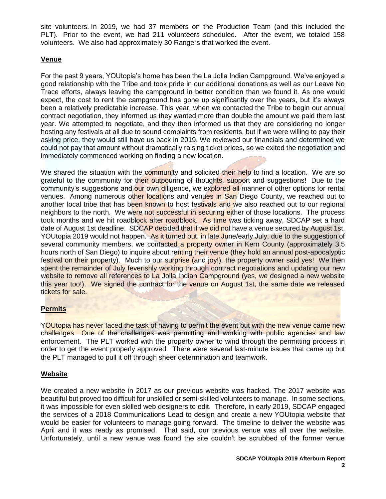site volunteers. In 2019, we had 37 members on the Production Team (and this included the PLT). Prior to the event, we had 211 volunteers scheduled. After the event, we totaled 158 volunteers. We also had approximately 30 Rangers that worked the event.

## **Venue**

For the past 9 years, YOUtopia's home has been the La Jolla Indian Campground. We've enjoyed a good relationship with the Tribe and took pride in our additional donations as well as our Leave No Trace efforts, always leaving the campground in better condition than we found it. As one would expect, the cost to rent the campground has gone up significantly over the years, but it's always been a relatively predictable increase. This year, when we contacted the Tribe to begin our annual contract negotiation, they informed us they wanted more than double the amount we paid them last year. We attempted to negotiate, and they then informed us that they are considering no longer hosting any festivals at all due to sound complaints from residents, but if we were willing to pay their asking price, they would still have us back in 2019. We reviewed our financials and determined we could not pay that amount without dramatically raising ticket prices, so we exited the negotiation and immediately commenced working on finding a new location.

We shared the situation with the community and solicited their help to find a location. We are so grateful to the community for their outpouring of thoughts, support and suggestions! Due to the community's suggestions and our own diligence, we explored all manner of other options for rental venues. Among numerous other locations and venues in San Diego County, we reached out to another local tribe that has been known to host festivals and we also reached out to our regional neighbors to the north. We were not successful in securing either of those locations. The process took months and we hit roadblock after roadblock. As time was ticking away, SDCAP set a hard date of August 1st deadline. SDCAP decided that if we did not have a venue secured by August 1st, YOUtopia 2019 would not happen. As it turned out, in late June/early July, due to the suggestion of several community members, we contacted a property owner in Kern County (approximately 3.5 hours north of San Diego) to inquire about renting their venue (they hold an annual post-apocalyptic festival on their property). Much to our surprise (and joy!), the property owner said yes! We then spent the remainder of July feverishly working through contract negotiations and updating our new website to remove all references to La Jolla Indian Campground (yes, we designed a new website this year too!). We signed the contract for the venue on August 1st, the same date we released tickets for sale.

## **Permits**

YOUtopia has never faced the task of having to permit the event but with the new venue came new challenges. One of the challenges was permitting and working with public agencies and law enforcement. The PLT worked with the property owner to wind through the permitting process in order to get the event properly approved. There were several last-minute issues that came up but the PLT managed to pull it off through sheer determination and teamwork.

### **Website**

We created a new website in 2017 as our previous website was hacked. The 2017 website was beautiful but proved too difficult for unskilled or semi-skilled volunteers to manage. In some sections, it was impossible for even skilled web designers to edit. Therefore, in early 2019, SDCAP engaged the services of a 2018 Communications Lead to design and create a new YOUtopia website that would be easier for volunteers to manage going forward. The timeline to deliver the website was April and it was ready as promised. That said, our previous venue was all over the website. Unfortunately, until a new venue was found the site couldn't be scrubbed of the former venue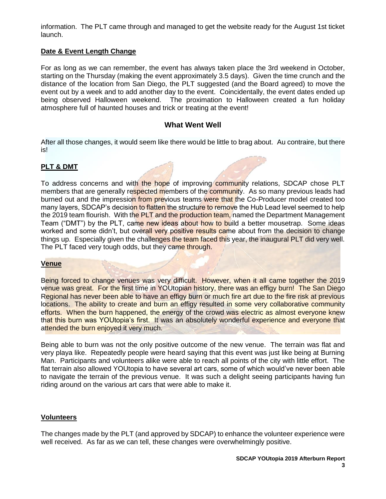information. The PLT came through and managed to get the website ready for the August 1st ticket launch.

### **Date & Event Length Change**

For as long as we can remember, the event has always taken place the 3rd weekend in October, starting on the Thursday (making the event approximately 3.5 days). Given the time crunch and the distance of the location from San Diego, the PLT suggested (and the Board agreed) to move the event out by a week and to add another day to the event. Coincidentally, the event dates ended up being observed Halloween weekend. The proximation to Halloween created a fun holiday atmosphere full of haunted houses and trick or treating at the event!

### **What Went Well**

<span id="page-4-0"></span>After all those changes, it would seem like there would be little to brag about. Au contraire, but there is!

### **PLT & DMT**

To address concerns and with the hope of improving community relations, SDCAP chose PLT members that are generally respected members of the community. As so many previous leads had burned out and the impression from previous teams were that the Co-Producer model created too many layers, SDCAP's decision to flatten the structure to remove the Hub Lead level seemed to help the 2019 team flourish. With the PLT and the production team, named the Department Management Team ("DMT") by the PLT, came new ideas about how to build a better mousetrap. Some ideas worked and some didn't, but overall very positive results came about from the decision to change things up. Especially given the challenges the team faced this year, the inaugural PLT did very well. The PLT faced very tough odds, but they came through.

#### **Venue**

Being forced to change venues was very difficult. However, when it all came together the 2019 venue was great. For the first time in YOUtopian history, there was an effigy burn! The San Diego Regional has never been able to have an effigy burn or much fire art due to the fire risk at previous locations. The ability to create and burn an effigy resulted in some very collaborative community efforts. When the burn happened, the energy of the crowd was electric as almost everyone knew that this burn was YOUtopia's first. It was an absolutely wonderful experience and everyone that attended the burn enjoyed it very much.

Being able to burn was not the only positive outcome of the new venue. The terrain was flat and very playa like. Repeatedly people were heard saying that this event was just like being at Burning Man. Participants and volunteers alike were able to reach all points of the city with little effort. The flat terrain also allowed YOUtopia to have several art cars, some of which would've never been able to navigate the terrain of the previous venue. It was such a delight seeing participants having fun riding around on the various art cars that were able to make it.

### **Volunteers**

The changes made by the PLT (and approved by SDCAP) to enhance the volunteer experience were well received. As far as we can tell, these changes were overwhelmingly positive.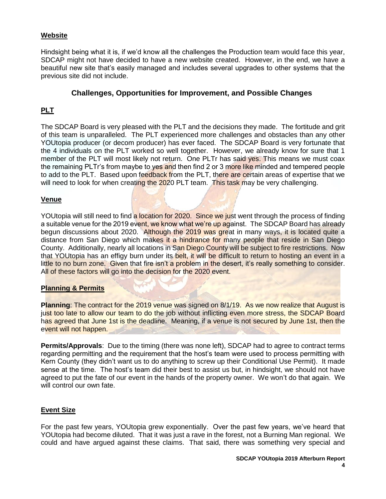### **Website**

Hindsight being what it is, if we'd know all the challenges the Production team would face this year, SDCAP might not have decided to have a new website created. However, in the end, we have a beautiful new site that's easily managed and includes several upgrades to other systems that the previous site did not include.

### **Challenges, Opportunities for Improvement, and Possible Changes**

## <span id="page-5-0"></span>**PLT**

The SDCAP Board is very pleased with the PLT and the decisions they made. The fortitude and grit of this team is unparalleled. The PLT experienced more challenges and obstacles than any other YOUtopia producer (or decom producer) has ever faced. The SDCAP Board is very fortunate that the 4 individuals on the PLT worked so well together. However, we already know for sure that 1 member of the PLT will most likely not return. One PLTr has said yes. This means we must coax the remaining PLTr's from maybe to yes and then find 2 or 3 more like minded and tempered people to add to the PLT. Based upon feedback from the PLT, there are certain areas of expertise that we will need to look for when creating the 2020 PLT team. This task may be very challenging.

### **Venue**

YOUtopia will still need to find a location for 2020. Since we just went through the process of finding a suitable venue for the 2019 event, we know what we're up against. The SDCAP Board has already begun discussions about 2020. Although the 2019 was great in many ways, it is located quite a distance from San Diego which makes it a hindrance for many people that reside in San Diego County. Additionally, nearly all locations in San Diego County will be subject to fire restrictions. Now that YOUtopia has an effigy burn under its belt, it will be difficult to return to hosting an event in a little to no burn zone. Given that fire isn't a problem in the desert, it's really something to consider. All of these factors will go into the decision for the 2020 event.

### **Planning & Permits**

**Planning**: The contract for the 2019 venue was signed on 8/1/19. As we now realize that August is just too late to allow our team to do the job without inflicting even more stress, the SDCAP Board has agreed that June 1st is the deadline. Meaning, if a venue is not secured by June 1st, then the event will not happen.

**Permits/Approvals**: Due to the timing (there was none left), SDCAP had to agree to contract terms regarding permitting and the requirement that the host's team were used to process permitting with Kern County (they didn't want us to do anything to screw up their Conditional Use Permit). It made sense at the time. The host's team did their best to assist us but, in hindsight, we should not have agreed to put the fate of our event in the hands of the property owner. We won't do that again. We will control our own fate.

### **Event Size**

For the past few years, YOUtopia grew exponentially. Over the past few years, we've heard that YOUtopia had become diluted. That it was just a rave in the forest, not a Burning Man regional. We could and have argued against these claims. That said, there was something very special and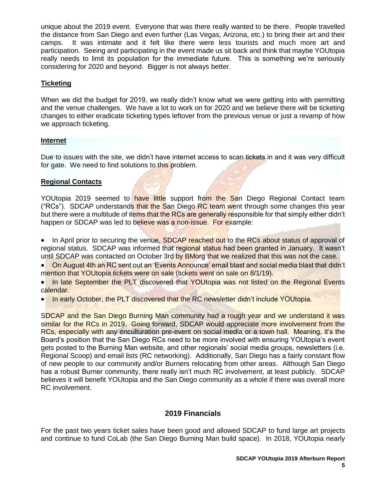unique about the 2019 event. Everyone that was there really wanted to be there. People travelled the distance from San Diego and even further (Las Vegas, Arizona, etc.) to bring their art and their camps. It was intimate and it felt like there were less tourists and much more art and participation. Seeing and participating in the event made us sit back and think that maybe YOUtopia really needs to limit its population for the immediate future. This is something we're seriously considering for 2020 and beyond. Bigger is not always better.

## **Ticketing**

When we did the budget for 2019, we really didn't know what we were getting into with permitting and the venue challenges. We have a lot to work on for 2020 and we believe there will be ticketing changes to either eradicate ticketing types leftover from the previous venue or just a revamp of how we approach ticketing.

## **Internet**

Due to issues with the site, we didn't have internet access to scan tickets in and it was very difficult for gate. We need to find solutions to this problem.

## **Regional Contacts**

YOUtopia 2019 seemed to have little support from the San Diego Regional Contact team ("RCs"). SDCAP understands that the San Diego RC team went through some changes this year but there were a multitude of items that the RCs are generally responsible for that simply either didn't happen or SDCAP was led to believe was a non-issue. For example:

• In April prior to securing the venue, SDCAP reached out to the RCs about status of approval of regional status. SDCAP was informed that regional status had been granted in January. It wasn't until SDCAP was contacted on October 3rd by BMorg that we realized that this was not the case.

• On August 4th an RC sent out an 'Events Announce' email blast and social media blast that didn't mention that YOUtopia tickets were on sale (tickets went on sale on 8/1/19).

In late September the PLT discovered that YOUtopia was not listed on the Regional Events calendar.

• In early October, the PLT discovered that the RC newsletter didn't include YOUtopia.

SDCAP and the San Diego Burning Man community had a rough year and we understand it was similar for the RCs in 2019. Going forward, SDCAP would appreciate more involvement from the RCs, especially with any enculturation pre-event on social media or a town hall. Meaning, it's the Board's position that the San Diego RCs need to be more involved with ensuring YOUtopia's event gets posted to the Burning Man website, and other regionals' social media groups, newsletters (i.e. Regional Scoop) and email lists (RC networking). Additionally, San Diego has a fairly constant flow of new people to our community and/or Burners relocating from other areas. Although San Diego has a robust Burner community, there really isn't much RC involvement, at least publicly. SDCAP believes it will benefit YOUtopia and the San Diego community as a whole if there was overall more RC involvement.

## **2019 Financials**

<span id="page-6-0"></span>For the past two years ticket sales have been good and allowed SDCAP to fund large art projects and continue to fund CoLab (the San Diego Burning Man build space). In 2018, YOUtopia nearly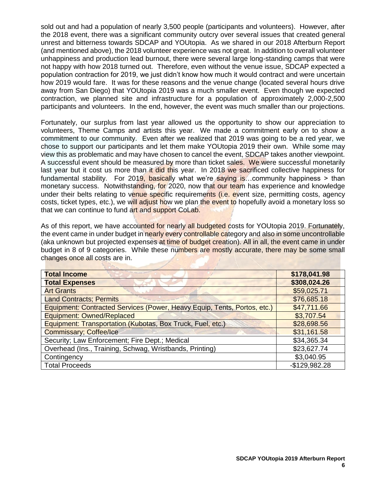sold out and had a population of nearly 3,500 people (participants and volunteers). However, after the 2018 event, there was a significant community outcry over several issues that created general unrest and bitterness towards SDCAP and YOUtopia. As we shared in our 2018 Afterburn Report (and mentioned above), the 2018 volunteer experience was not great. In addition to overall volunteer unhappiness and production lead burnout, there were several large long-standing camps that were not happy with how 2018 turned out. Therefore, even without the venue issue, SDCAP expected a population contraction for 2019, we just didn't know how much it would contract and were uncertain how 2019 would fare. It was for these reasons and the venue change (located several hours drive away from San Diego) that YOUtopia 2019 was a much smaller event. Even though we expected contraction, we planned site and infrastructure for a population of approximately 2,000-2,500 participants and volunteers. In the end, however, the event was much smaller than our projections.

Fortunately, our surplus from last year allowed us the opportunity to show our appreciation to volunteers, Theme Camps and artists this year. We made a commitment early on to show a commitment to our community. Even after we realized that 2019 was going to be a red year, we chose to support our participants and let them make YOUtopia 2019 their own. While some may view this as problematic and may have chosen to cancel the event, SDCAP takes another viewpoint. A successful event should be measured by more than ticket sales. We were successful monetarily last year but it cost us more than it did this year. In 2018 we sacrificed collective happiness for fundamental stability. For 2019, basically what we're saying is...community happiness > than monetary success. Notwithstanding, for 2020, now that our team has experience and knowledge under their belts relating to venue specific requirements (i.e. event size, permitting costs, agency costs, ticket types, etc.), we will adjust how we plan the event to hopefully avoid a monetary loss so that we can continue to fund art and support CoLab.

As of this report, we have accounted for nearly all budgeted costs for YOUtopia 2019. Fortunately, the event came in under budget in nearly every controllable category and also in some uncontrollable (aka unknown but projected expenses at time of budget creation). All in all, the event came in under budget in 8 of 9 categories. While these numbers are mostly accurate, there may be some small changes once all costs are in.

| <b>Total Income</b>                                                      | \$178,041.98   |
|--------------------------------------------------------------------------|----------------|
| <b>Total Expenses</b>                                                    | \$308,024.26   |
| <b>Art Grants</b>                                                        | \$59,025.71    |
| <b>Land Contracts; Permits</b>                                           | \$76,685.18    |
| Equipment: Contracted Services (Power, Heavy Equip, Tents, Portos, etc.) | \$47,711.66    |
| <b>Equipment: Owned/Replaced</b>                                         | \$3,707.54     |
| Equipment: Transportation (Kubotas, Box Truck, Fuel, etc.)               | \$28,698.56    |
| <b>Commissary; Coffee/Ice</b>                                            | \$31,161.58    |
| Security; Law Enforcement; Fire Dept.; Medical                           | \$34,365.34    |
| Overhead (Ins., Training, Schwag, Wristbands, Printing)                  | \$23,627.74    |
| Contingency                                                              | \$3,040.95     |
| <b>Total Proceeds</b>                                                    | $-$129,982.28$ |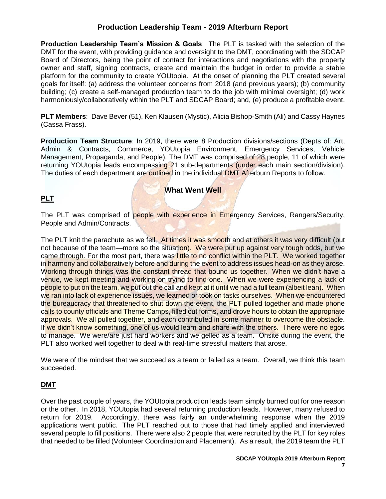# **Production Leadership Team - 2019 Afterburn Report**

<span id="page-8-0"></span>**Production Leadership Team's Mission & Goals**: The PLT is tasked with the selection of the DMT for the event, with providing guidance and oversight to the DMT, coordinating with the SDCAP Board of Directors, being the point of contact for interactions and negotiations with the property owner and staff, signing contracts, create and maintain the budget in order to provide a stable platform for the community to create YOUtopia. At the onset of planning the PLT created several goals for itself: (a) address the volunteer concerns from 2018 (and previous years); (b) community building; (c) create a self-managed production team to do the job with minimal oversight; (d) work harmoniously/collaboratively within the PLT and SDCAP Board; and, (e) produce a profitable event.

**PLT Members**: Dave Bever (51), Ken Klausen (Mystic), Alicia Bishop-Smith (Ali) and Cassy Haynes (Cassa Frass).

**Production Team Structure**: In 2019, there were 8 Production divisions/sections (Depts of: Art, Admin & Contracts, Commerce, YOUtopia Environment, Emergency Services, Vehicle Management, Propaganda, and People). The DMT was comprised of 28 people, 11 of which were returning YOUtopia leads encompassing 21 sub-departments (under each main section/division). The duties of each department are outlined in the individual DMT Afterburn Reports to follow.

# <span id="page-8-1"></span>**PLT**

**What Went Well**

The PLT was comprised of people with experience in Emergency Services, Rangers/Security, People and Admin/Contracts.

The PLT knit the parachute as we fell. At times it was smooth and at others it was very difficult (but not because of the team—more so the situation). We were put up against very tough odds, but we came through. For the most part, there was little to no conflict within the PLT. We worked together in harmony and collaboratively before and during the event to address issues head-on as they arose. Working through things was the constant thread that bound us together. When we didn't have a venue, we kept meeting and working on trying to find one. When we were experiencing a lack of people to put on the team, we put out the call and kept at it until we had a full team (albeit lean). When we ran into lack of experience issues, we learned or took on tasks ourselves. When we encountered the bureaucracy that threatened to shut down the event, the PLT pulled together and made phone calls to county officials and Theme Camps, filled out forms, and drove hours to obtain the appropriate approvals. We all pulled together, and each contributed in some manner to overcome the obstacle. If we didn't know something, one of us would learn and share with the others. There were no egos to manage. We were/are just hard workers and we gelled as a team. Onsite during the event, the PLT also worked well together to deal with real-time stressful matters that arose.

We were of the mindset that we succeed as a team or failed as a team. Overall, we think this team succeeded.

## **DMT**

Over the past couple of years, the YOUtopia production leads team simply burned out for one reason or the other. In 2018, YOUtopia had several returning production leads. However, many refused to return for 2019. Accordingly, there was fairly an underwhelming response when the 2019 applications went public. The PLT reached out to those that had timely applied and interviewed several people to fill positions. There were also 2 people that were recruited by the PLT for key roles that needed to be filled (Volunteer Coordination and Placement). As a result, the 2019 team the PLT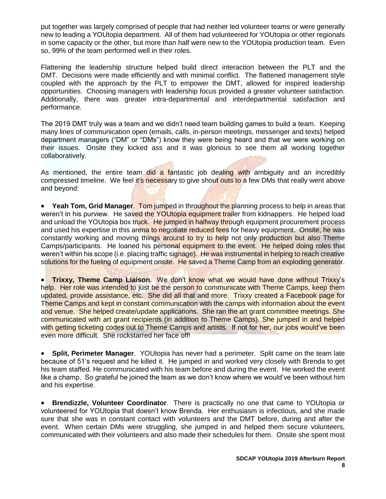put together was largely comprised of people that had neither led volunteer teams or were generally new to leading a YOUtopia department. All of them had volunteered for YOUtopia or other regionals in some capacity or the other, but more than half were new to the YOUtopia production team. Even so, 99% of the team performed well in their roles.

Flattening the leadership structure helped build direct interaction between the PLT and the DMT. Decisions were made efficiently and with minimal conflict. The flattened management style coupled with the approach by the PLT to empower the DMT, allowed for inspired leadership opportunities. Choosing managers with leadership focus provided a greater volunteer satisfaction. Additionally, there was greater intra-departmental and interdepartmental satisfaction and performance.

The 2019 DMT truly was a team and we didn't need team building games to build a team. Keeping many lines of communication open (emails, calls, in-person meetings, messenger and texts) helped department managers ("DM" or "DMs") know they were being heard and that we were working on their issues. Onsite they kicked ass and it was glorious to see them all working together collaboratively.

As mentioned, the entire team did a fantastic job dealing with ambiguity and an incredibly compressed timeline. We feel it's necessary to give shout outs to a few DMs that really went above and beyond:

• **Yeah Tom, Grid Manager**. Tom jumped in throughout the planning process to help in areas that weren't in his purview. He saved the YOUtopia equipment trailer from kidnappers. He helped load and unload the YOUtopia box truck. He jumped in halfway through equipment procurement process and used his expertise in this arena to negotiate reduced fees for heavy equipment. Onsite, he was constantly working and moving things around to try to help not only production but also Theme Camps/participants. He loaned his personal equipment to the event. He helped doing roles that weren't within his scope (i.e. placing traffic signage). He was instrumental in helping to reach creative solutions for the fueling of equipment onsite. He saved a Theme Camp from an exploding generator.

• **Trixxy, Theme Camp Liaison**. We don't know what we would have done without Trixxy's help. Her role was intended to just be the person to communicate with Theme Camps, keep them updated, provide assistance, etc. She did all that and more. Trixxy created a Facebook page for Theme Camps and kept in constant communication with the camps with information about the event and venue. She helped create/update applications. She ran the art grant committee meetings. She communicated with art grant recipients (in addition to Theme Camps). She jumped in and helped with getting ticketing codes out to Theme Camps and artists. If not for her, our jobs would've been even more difficult. She rockstarred her face off!

• **Split, Perimeter Manager**. YOUtopia has never had a perimeter. Split came on the team late because of 51's request and he killed it. He jumped in and worked very closely with Brenda to get his team staffed. He communicated with his team before and during the event. He worked the event like a champ. So grateful he joined the team as we don't know where we would've been without him and his expertise.

• **Brendizzle, Volunteer Coordinator**. There is practically no one that came to YOUtopia or volunteered for YOUtopia that doesn't know Brenda. Her enthusiasm is infectious, and she made sure that she was in constant contact with volunteers and the DMT before, during and after the event. When certain DMs were struggling, she jumped in and helped them secure volunteers, communicated with their volunteers and also made their schedules for them. Onsite she spent most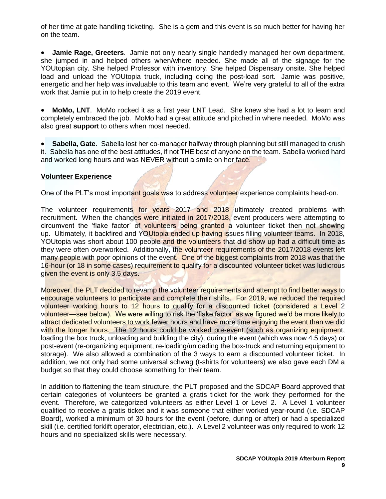of her time at gate handling ticketing. She is a gem and this event is so much better for having her on the team.

• **Jamie Rage, Greeters**. Jamie not only nearly single handedly managed her own department, she jumped in and helped others when/where needed. She made all of the signage for the YOUtopian city. She helped Professor with inventory. She helped Dispensary onsite. She helped load and unload the YOUtopia truck, including doing the post-load sort. Jamie was positive, energetic and her help was invaluable to this team and event. We're very grateful to all of the extra work that Jamie put in to help create the 2019 event.

• **MoMo, LNT**. MoMo rocked it as a first year LNT Lead. She knew she had a lot to learn and completely embraced the job. MoMo had a great attitude and pitched in where needed. MoMo was also great **support** to others when most needed.

• **Sabella, Gate**. Sabella lost her co-manager halfway through planning but still managed to crush it. Sabella has one of the best attitudes, if not THE best of anyone on the team. Sabella worked hard and worked long hours and was NEVER without a smile on her face.

### **Volunteer Experience**

One of the PLT's most important goals was to address volunteer experience complaints head-on.

The volunteer requirements for years 2017 and 2018 ultimately created problems with recruitment. When the changes were initiated in 2017/2018, event producers were attempting to circumvent the 'flake factor' of volunteers being granted a volunteer ticket then not showing up. Ultimately, it backfired and YOUtopia ended up having issues filling volunteer teams. In 2018, YOUtopia was short about 100 people and the volunteers that did show up had a difficult time as they were often overworked. Additionally, the volunteer requirements of the 2017/2018 events left many people with poor opinions of the event. One of the biggest complaints from 2018 was that the 16-hour (or 18 in some cases) requirement to qualify for a discounted volunteer ticket was ludicrous given the event is only 3.5 days.

Moreover, the PLT decided to revamp the volunteer requirements and attempt to find better ways to encourage volunteers to participate and complete their shifts. For 2019, we reduced the required volunteer working hours to 12 hours to qualify for a discounted ticket (considered a Level 2 volunteer—see below). We were willing to risk the 'flake factor' as we figured we'd be more likely to attract dedicated volunteers to work fewer hours and have more time enjoying the event than we did with the longer hours. The 12 hours could be worked pre-event (such as organizing equipment, loading the box truck, unloading and building the city), during the event (which was now 4.5 days) or post-event (re-organizing equipment, re-loading/unloading the box-truck and returning equipment to storage). We also allowed a combination of the 3 ways to earn a discounted volunteer ticket. In addition, we not only had some universal schwag (t-shirts for volunteers) we also gave each DM a budget so that they could choose something for their team.

In addition to flattening the team structure, the PLT proposed and the SDCAP Board approved that certain categories of volunteers be granted a gratis ticket for the work they performed for the event. Therefore, we categorized volunteers as either Level 1 or Level 2. A Level 1 volunteer qualified to receive a gratis ticket and it was someone that either worked year-round (i.e. SDCAP Board), worked a minimum of 30 hours for the event (before, during or after) or had a specialized skill (i.e. certified forklift operator, electrician, etc.). A Level 2 volunteer was only required to work 12 hours and no specialized skills were necessary.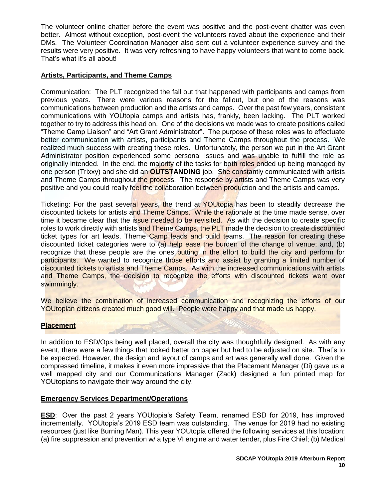The volunteer online chatter before the event was positive and the post-event chatter was even better. Almost without exception, post-event the volunteers raved about the experience and their DMs. The Volunteer Coordination Manager also sent out a volunteer experience survey and the results were very positive. It was very refreshing to have happy volunteers that want to come back. That's what it's all about!

### **Artists, Participants, and Theme Camps**

Communication: The PLT recognized the fall out that happened with participants and camps from previous years. There were various reasons for the fallout, but one of the reasons was communications between production and the artists and camps. Over the past few years, consistent communications with YOUtopia camps and artists has, frankly, been lacking. The PLT worked together to try to address this head on. One of the decisions we made was to create positions called "Theme Camp Liaison" and "Art Grant Administrator". The purpose of these roles was to effectuate better communication with artists, participants and Theme Camps throughout the process. We realized much success with creating these roles. Unfortunately, the person we put in the Art Grant Administrator position experienced some personal issues and was unable to fulfill the role as originally intended. In the end, the majority of the tasks for both roles ended up being managed by one person (Trixxy) and she did an **OUTSTANDING** job. She constantly communicated with artists and Theme Camps throughout the process. The response by artists and Theme Camps was very positive and you could really feel the collaboration between production and the artists and camps.

Ticketing: For the past several years, the trend at YOUtopia has been to steadily decrease the discounted tickets for artists and Theme Camps. While the rationale at the time made sense, over time it became clear that the issue needed to be revisited. As with the decision to create specific roles to work directly with artists and Theme Camps, the PLT made the decision to create discounted ticket types for art leads, Theme Camp leads and build teams. The reason for creating these discounted ticket categories were to  $(a)$  help ease the burden of the change of venue; and, (b) recognize that these people are the ones putting in the effort to build the city and perform for participants. We wanted to recognize those efforts and assist by granting a limited number of discounted tickets to artists and Theme Camps. As with the increased communications with artists and Theme Camps, the decision to recognize the efforts with discounted tickets went over swimmingly.

We believe the combination of increased communication and recognizing the efforts of our YOUtopian citizens created much good will. People were happy and that made us happy.

## **Placement**

In addition to ESD/Ops being well placed, overall the city was thoughtfully designed. As with any event, there were a few things that looked better on paper but had to be adjusted on site. That's to be expected. However, the design and layout of camps and art was generally well done. Given the compressed timeline, it makes it even more impressive that the Placement Manager (Di) gave us a well mapped city and our Communications Manager (Zack) designed a fun printed map for YOUtopians to navigate their way around the city.

### **Emergency Services Department/Operations**

**ESD**: Over the past 2 years YOUtopia's Safety Team, renamed ESD for 2019, has improved incrementally. YOUtopia's 2019 ESD team was outstanding. The venue for 2019 had no existing resources (just like Burning Man). This year YOUtopia offered the following services at this location: (a) fire suppression and prevention w/ a type VI engine and water tender, plus Fire Chief; (b) Medical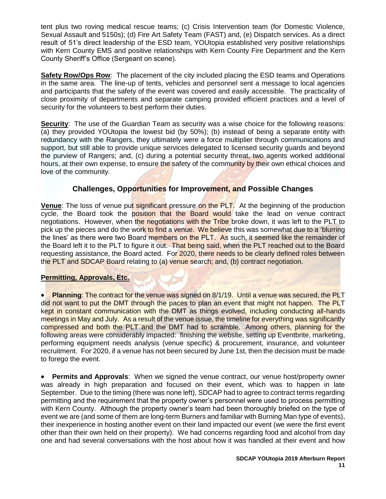tent plus two roving medical rescue teams; (c) Crisis Intervention team (for Domestic Violence, Sexual Assault and 5150s); (d) Fire Art Safety Team (FAST) and, (e) Dispatch services. As a direct result of 51's direct leadership of the ESD team, YOUtopia established very positive relationships with Kern County EMS and positive relationships with Kern County Fire Department and the Kern County Sheriff's Office (Sergeant on scene).

**Safety Row/Ops Row**: The placement of the city included placing the ESD teams and Operations in the same area. The line-up of tents, vehicles and personnel sent a message to local agencies and participants that the safety of the event was covered and easily accessible. The practicality of close proximity of departments and separate camping provided efficient practices and a level of security for the volunteers to best perform their duties.

**Security:** The use of the Guardian Team as security was a wise choice for the following reasons: (a) they provided YOUtopia the lowest bid (by 50%); (b) instead of being a separate entity with redundancy with the Rangers, they ultimately were a force multiplier through communications and support, but still able to provide unique services delegated to licensed security guards and beyond the purview of Rangers; and, (c) during a potential security threat, two agents worked additional hours, at their own expense, to ensure the safety of the community by their own ethical choices and love of the community.

## **Challenges, Opportunities for Improvement, and Possible Changes**

<span id="page-12-0"></span>**Venue**: The loss of venue put significant pressure on the PLT. At the beginning of the production cycle, the Board took the position that the Board would take the lead on venue contract negotiations. However, when the negotiations with the Tribe broke down, it was left to the PLT to pick up the pieces and do the work to find a venue. We believe this was somewhat due to a 'blurring the lines' as there were two Board members on the PLT. As such, it seemed like the remainder of the Board left it to the PLT to figure it out. That being said, when the PLT reached out to the Board requesting assistance, the Board acted. For 2020, there needs to be clearly defined roles between the PLT and SDCAP Board relating to (a) venue search; and, (b) contract negotiation.

### **Permitting, Approvals, Etc.**

• **Planning**: The contract for the venue was signed on 8/1/19. Until a venue was secured, the PLT did not want to put the DMT through the paces to plan an event that might not happen. The PLT kept in constant communication with the DMT as things evolved, including conducting all-hands meetings in May and July. As a result of the venue issue, the timeline for everything was significantly compressed and both the PLT and the DMT had to scramble. Among others, planning for the following areas were considerably impacted: finishing the website, setting up Eventbrite, marketing, performing equipment needs analysis (venue specific) & procurement, insurance, and volunteer recruitment. For 2020, if a venue has not been secured by June 1st, then the decision must be made to forego the event.

• **Permits and Approvals**: When we signed the venue contract, our venue host/property owner was already in high preparation and focused on their event, which was to happen in late September. Due to the timing (there was none left), SDCAP had to agree to contract terms regarding permitting and the requirement that the property owner's personnel were used to process permitting with Kern County. Although the property owner's team had been thoroughly briefed on the type of event we are (and some of them are long-term Burners and familiar with Burning Man type of events), their inexperience in hosting another event on their land impacted our event (we were the first event other than their own held on their property). We had concerns regarding food and alcohol from day one and had several conversations with the host about how it was handled at their event and how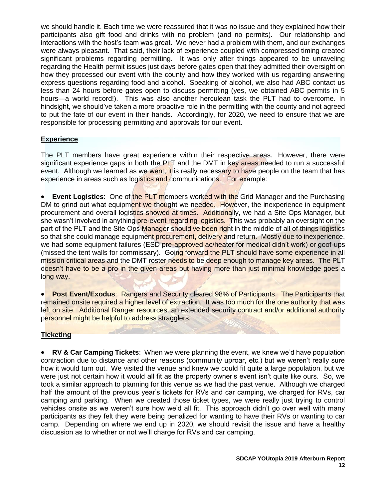we should handle it. Each time we were reassured that it was no issue and they explained how their participants also gift food and drinks with no problem (and no permits). Our relationship and interactions with the host's team was great. We never had a problem with them, and our exchanges were always pleasant. That said, their lack of experience coupled with compressed timing created significant problems regarding permitting. It was only after things appeared to be unraveling regarding the Health permit issues just days before gates open that they admitted their oversight on how they processed our event with the county and how they worked with us regarding answering express questions regarding food and alcohol. Speaking of alcohol, we also had ABC contact us less than 24 hours before gates open to discuss permitting (yes, we obtained ABC permits in 5 hours—a world record!). This was also another herculean task the PLT had to overcome. In hindsight, we should've taken a more proactive role in the permitting with the county and not agreed to put the fate of our event in their hands. Accordingly, for 2020, we need to ensure that we are responsible for processing permitting and approvals for our event.

## **Experience**

The PLT members have great experience within their respective areas. However, there were significant experience gaps in both the PLT and the DMT in key areas needed to run a successful event. Although we learned as we went, it is really necessary to have people on the team that has experience in areas such as logistics and communications. For example:

**Event Logistics:** One of the PLT members worked with the Grid Manager and the Purchasing DM to grind out what equipment we thought we needed. However, the inexperience in equipment procurement and overall logistics showed at times. Additionally, we had a Site Ops Manager, but she wasn't involved in anything pre-event regarding logistics. This was probably an oversight on the part of the PLT and the Site Ops Manager should've been right in the middle of all of things logistics so that she could manage equipment procurement, delivery and return. Mostly due to inexperience, we had some equipment failures (ESD pre-approved ac/heater for medical didn't work) or goof-ups (missed the tent walls for commissary). Going forward the PLT should have some experience in all mission critical areas and the DMT roster needs to be deep enough to manage key areas. The PLT doesn't have to be a pro in the given areas but having more than just minimal knowledge goes a long way.

**Post Event/Exodus: Rangers and Security cleared 98% of Participants. The Participants that** remained onsite required a higher level of extraction. It was too much for the one authority that was left on site. Additional Ranger resources, an extended security contract and/or additional authority personnel might be helpful to address stragglers.

## **Ticketing**

• **RV & Car Camping Tickets**: When we were planning the event, we knew we'd have population contraction due to distance and other reasons (community uproar, etc.) but we weren't really sure how it would turn out. We visited the venue and knew we could fit quite a large population, but we were just not certain how it would all fit as the property owner's event isn't quite like ours. So, we took a similar approach to planning for this venue as we had the past venue. Although we charged half the amount of the previous year's tickets for RVs and car camping, we charged for RVs, car camping and parking. When we created those ticket types, we were really just trying to control vehicles onsite as we weren't sure how we'd all fit. This approach didn't go over well with many participants as they felt they were being penalized for wanting to have their RVs or wanting to car camp. Depending on where we end up in 2020, we should revisit the issue and have a healthy discussion as to whether or not we'll charge for RVs and car camping.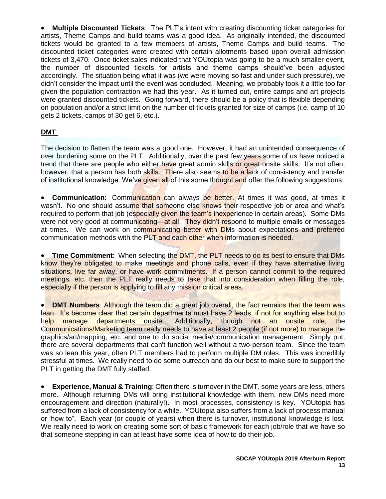• **Multiple Discounted Tickets**: The PLT's intent with creating discounting ticket categories for artists, Theme Camps and build teams was a good idea. As originally intended, the discounted tickets would be granted to a few members of artists, Theme Camps and build teams. The discounted ticket categories were created with certain allotments based upon overall admission tickets of 3,470. Once ticket sales indicated that YOUtopia was going to be a much smaller event, the number of discounted tickets for artists and theme camps should've been adjusted accordingly. The situation being what it was (we were moving so fast and under such pressure), we didn't consider the impact until the event was concluded. Meaning, we probably took it a little too far given the population contraction we had this year. As it turned out, entire camps and art projects were granted discounted tickets. Going forward, there should be a policy that is flexible depending on population and/or a strict limit on the number of tickets granted for size of camps (i.e. camp of 10 gets 2 tickets, camps of 30 get 6, etc.).

## **DMT**

The decision to flatten the team was a good one. However, it had an unintended consequence of over burdening some on the PLT. Additionally, over the past few years some of us have noticed a trend that there are people who either have great admin skills or great onsite skills. It's not often, however, that a person has both skills. There also seems to be a lack of consistency and transfer of institutional knowledge. We've given all of this some thought and offer the following suggestions:

• **Communication**: Communication can always be better. At times it was good, at times it wasn't. No one should assume that someone else knows their respective job or area and what's required to perform that job (especially given the team's inexperience in certain areas). Some DMs were not very good at communicating—at all. They didn't respond to multiple emails or messages at times. We can work on communicating better with DMs about expectations and preferred communication methods with the PLT and each other when information is needed.

• **Time Commitment**: When selecting the DMT, the PLT needs to do its best to ensure that DMs know they're obligated to make meetings and phone calls, even if they have alternative living situations, live far away, or have work commitments. If a person cannot commit to the required meetings, etc. then the PLT really needs to take that into consideration when filling the role, especially if the person is applying to fill any mission critical areas.

• **DMT Numbers**: Although the team did a great job overall, the fact remains that the team was lean. It's become clear that certain departments must have 2 leads, if not for anything else but to help manage departments onsite. Additionally, though not an onsite role, the Communications/Marketing team really needs to have at least 2 people (if not more) to manage the graphics/art/mapping, etc. and one to do social media/communication management. Simply put, there are several departments that can't function well without a two-person team. Since the team was so lean this year, often PLT members had to perform multiple DM roles. This was incredibly stressful at times. We really need to do some outreach and do our best to make sure to support the PLT in getting the DMT fully staffed.

• **Experience, Manual & Training**: Often there is turnover in the DMT, some years are less, others more. Although returning DMs will bring institutional knowledge with them, new DMs need more encouragement and direction (naturally!). In most processes, consistency is key. YOUtopia has suffered from a lack of consistency for a while. YOUtopia also suffers from a lack of process manual or 'how to". Each year (or couple of years) when there is turnover, institutional knowledge is lost. We really need to work on creating some sort of basic framework for each job/role that we have so that someone stepping in can at least have some idea of how to do their job.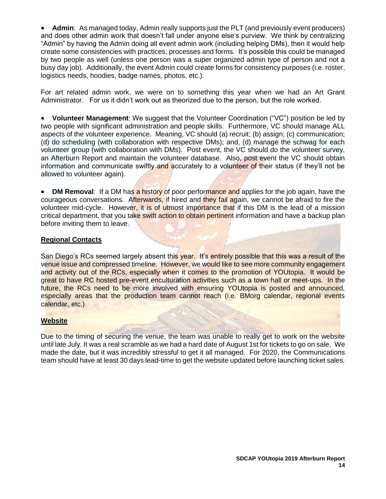• **Admin**: As managed today, Admin really supports just the PLT (and previously event producers) and does other admin work that doesn't fall under anyone else's purview. We think by centralizing "Admin" by having the Admin doing all event admin work (including helping DMs), then it would help create some consistencies with practices, processes and forms. It's possible this could be managed by two people as well (unless one person was a super organized admin type of person and not a busy day job). Additionally, the event Admin could create forms for consistency purposes (i.e. roster, logistics needs, hoodies, badge names, photos, etc.).

For art related admin work, we were on to something this year when we had an Art Grant Administrator. For us it didn't work out as theorized due to the person, but the role worked.

• **Volunteer Management**: We suggest that the Volunteer Coordination ("VC") position be led by two people with significant administration and people skills. Furthermore, VC should manage ALL aspects of the volunteer experience. Meaning, VC should (a) recruit; (b) assign; (c) communication; (d) do scheduling (with collaboration with respective DMs); and, (d) manage the schwag for each volunteer group (with collaboration with DMs). Post event, the VC should do the volunteer survey, an Afterburn Report and maintain the volunteer database. Also, post event the VC should obtain information and communicate swiftly and accurately to a volunteer of their status (if they'll not be allowed to volunteer again).

• **DM Removal:** If a DM has a history of poor performance and applies for the job again, have the courageous conversations. Afterwards, if hired and they fail again, we cannot be afraid to fire the volunteer mid-cycle. However, it is of utmost importance that if this DM is the lead of a mission critical department, that you take swift action to obtain pertinent information and have a backup plan before inviting them to leave.

#### **Regional Contacts**

San Diego's RCs seemed largely absent this year. It's entirely possible that this was a result of the venue issue and compressed timeline. However, we would like to see more community engagement and activity out of the RCs, especially when it comes to the promotion of YOUtopia. It would be great to have RC hosted pre-event enculturation activities such as a town hall or meet-ups. In the future, the RCs need to be more involved with ensuring YOUtopia is posted and announced, especially areas that the production team cannot reach (i.e. BMorg calendar, regional events calendar, etc.)

### **Website**

Due to the timing of securing the venue, the team was unable to really get to work on the website until late July. It was a real scramble as we had a hard date of August 1st for tickets to go on sale. We made the date, but it was incredibly stressful to get it all managed. For 2020, the Communications team should have at least 30 days lead-time to get the website updated before launching ticket sales.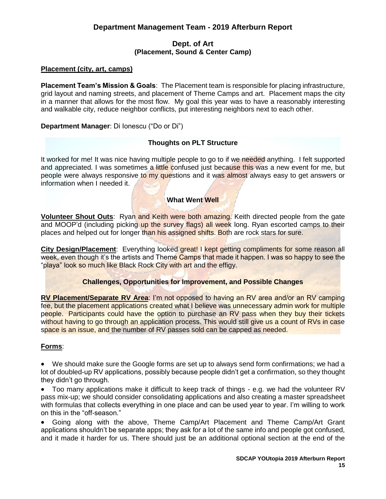## **Dept. of Art (Placement, Sound & Center Camp)**

## <span id="page-16-1"></span><span id="page-16-0"></span>**Placement (city, art, camps)**

**Placement Team's Mission & Goals**: The Placement team is responsible for placing infrastructure, grid layout and naming streets, and placement of Theme Camps and art. Placement maps the city in a manner that allows for the most flow. My goal this year was to have a reasonably interesting and walkable city, reduce neighbor conflicts, put interesting neighbors next to each other.

**Department Manager**: Di Ionescu ("Do or Di")

### **Thoughts on PLT Structure**

It worked for me! It was nice having multiple people to go to if we needed anything. I felt supported and appreciated. I was sometimes a little confused just because this was a new event for me, but people were always responsive to my questions and it was almost always easy to get answers or information when I needed it.

#### **What Went Well**

**Volunteer Shout Outs:** Ryan and Keith were both amazing. Keith directed people from the gate and MOOP'd (including picking up the survey flags) all week long. Ryan escorted camps to their places and helped out for longer than his assigned shifts. Both are rock stars for sure.

**City Design/Placement:** Everything looked great! I kept getting compliments for some reason all week, even though it's the artists and Theme Camps that made it happen. I was so happy to see the "playa" look so much like Black Rock City with art and the effigy.

### **Challenges, Opportunities for Improvement, and Possible Changes**

**RV Placement/Separate RV Area**: I'm not opposed to having an RV area and/or an RV camping fee, but the placement applications created what I believe was unnecessary admin work for multiple people. Participants could have the option to purchase an RV pass when they buy their tickets without having to go through an application process. This would still give us a count of RVs in case space is an issue, and the number of RV passes sold can be capped as needed.

### **Forms**:

• We should make sure the Google forms are set up to always send form confirmations; we had a lot of doubled-up RV applications, possibly because people didn't get a confirmation, so they thought they didn't go through.

• Too many applications make it difficult to keep track of things - e.g. we had the volunteer RV pass mix-up; we should consider consolidating applications and also creating a master spreadsheet with formulas that collects everything in one place and can be used year to year. I'm willing to work on this in the "off-season."

• Going along with the above, Theme Camp/Art Placement and Theme Camp/Art Grant applications shouldn't be separate apps; they ask for a lot of the same info and people got confused, and it made it harder for us. There should just be an additional optional section at the end of the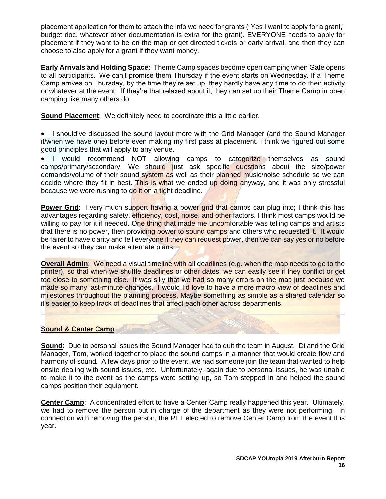placement application for them to attach the info we need for grants ("Yes I want to apply for a grant," budget doc, whatever other documentation is extra for the grant). EVERYONE needs to apply for placement if they want to be on the map or get directed tickets or early arrival, and then they can choose to also apply for a grant if they want money.

**Early Arrivals and Holding Space**: Theme Camp spaces become open camping when Gate opens to all participants. We can't promise them Thursday if the event starts on Wednesday. If a Theme Camp arrives on Thursday, by the time they're set up, they hardly have any time to do their activity or whatever at the event. If they're that relaxed about it, they can set up their Theme Camp in open camping like many others do.

**Sound Placement:** We definitely need to coordinate this a little earlier.

• I should've discussed the sound layout more with the Grid Manager (and the Sound Manager if/when we have one) before even making my first pass at placement. I think we figured out some good principles that will apply to any venue.

• I would recommend NOT allowing camps to categorize themselves as sound camps/primary/secondary. We should just ask specific questions about the size/power demands/volume of their sound system as well as their planned music/noise schedule so we can decide where they fit in best. This is what we ended up doing anyway, and it was only stressful because we were rushing to do it on a tight deadline.

**Power Grid:** I very much support having a power grid that camps can plug into; I think this has advantages regarding safety, efficiency, cost, noise, and other factors. I think most camps would be willing to pay for it if needed. One thing that made me uncomfortable was telling camps and artists that there is no power, then providing power to sound camps and others who requested it. It would be fairer to have clarity and tell everyone if they can request power, then we can say yes or no before the event so they can make alternate plans.

**Overall Admin**: We need a visual timeline with all deadlines (e.g. when the map needs to go to the printer), so that when we shuffle deadlines or other dates, we can easily see if they conflict or get too close to something else. It was silly that we had so many errors on the map just because we made so many last-minute changes. I would I'd love to have a more macro view of deadlines and milestones throughout the planning process. Maybe something as simple as a shared calendar so it's easier to keep track of deadlines that affect each other across departments.

### **Sound & Center Camp**

**Sound**: Due to personal issues the Sound Manager had to quit the team in August. Di and the Grid Manager, Tom, worked together to place the sound camps in a manner that would create flow and harmony of sound. A few days prior to the event, we had someone join the team that wanted to help onsite dealing with sound issues, etc. Unfortunately, again due to personal issues, he was unable to make it to the event as the camps were setting up, so Tom stepped in and helped the sound camps position their equipment.

**Center Camp**: A concentrated effort to have a Center Camp really happened this year. Ultimately, we had to remove the person put in charge of the department as they were not performing. In connection with removing the person, the PLT elected to remove Center Camp from the event this year.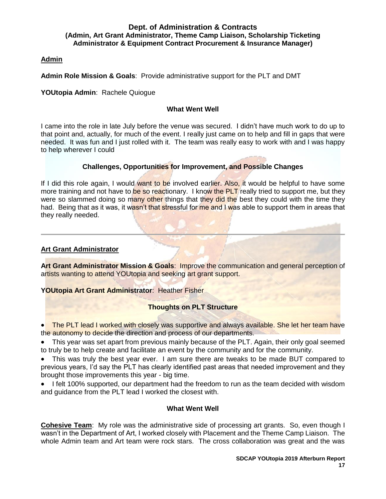#### <span id="page-18-0"></span>**Dept. of Administration & Contracts (Admin, Art Grant Administrator, Theme Camp Liaison, Scholarship Ticketing Administrator & Equipment Contract Procurement & Insurance Manager)**

#### **Admin**

**Admin Role Mission & Goals**: Provide administrative support for the PLT and DMT

**YOUtopia Admin**: Rachele Quiogue

#### **What Went Well**

I came into the role in late July before the venue was secured. I didn't have much work to do up to that point and, actually, for much of the event. I really just came on to help and fill in gaps that were needed. It was fun and I just rolled with it. The team was really easy to work with and I was happy to help wherever I could

### **Challenges, Opportunities for Improvement, and Possible Changes**

If I did this role again, I would want to be involved earlier. Also, it would be helpful to have some more training and not have to be so reactionary. I know the PLT really tried to support me, but they were so slammed doing so many other things that they did the best they could with the time they had. Being that as it was, it wasn't that stressful for me and I was able to support them in areas that they really needed.

#### **Art Grant Administrator**

**Art Grant Administrator Mission & Goals**: Improve the communication and general perception of artists wanting to attend YOUtopia and seeking art grant support.

**YOUtopia Art Grant Administrator**: Heather Fisher

### **Thoughts on PLT Structure**

• The PLT lead I worked with closely was supportive and always available. She let her team have the autonomy to decide the direction and process of our departments.

• This year was set apart from previous mainly because of the PLT. Again, their only goal seemed to truly be to help create and facilitate an event by the community and for the community.

• This was truly the best year ever. I am sure there are tweaks to be made BUT compared to previous years, I'd say the PLT has clearly identified past areas that needed improvement and they brought those improvements this year - big time.

• I felt 100% supported, our department had the freedom to run as the team decided with wisdom and guidance from the PLT lead I worked the closest with.

#### **What Went Well**

**Cohesive Team:** My role was the administrative side of processing art grants. So, even though I wasn't in the Department of Art, I worked closely with Placement and the Theme Camp Liaison. The whole Admin team and Art team were rock stars. The cross collaboration was great and the was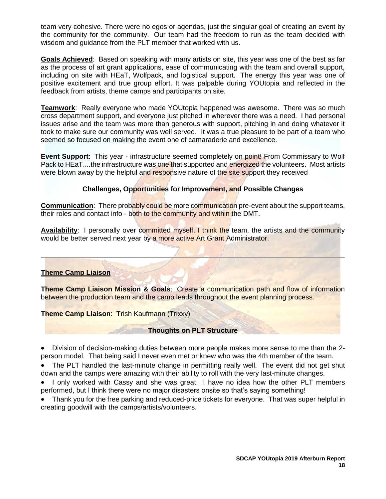team very cohesive. There were no egos or agendas, just the singular goal of creating an event by the community for the community. Our team had the freedom to run as the team decided with wisdom and guidance from the PLT member that worked with us.

**Goals Achieved**: Based on speaking with many artists on site, this year was one of the best as far as the process of art grant applications, ease of communicating with the team and overall support, including on site with HEaT, Wolfpack, and logistical support. The energy this year was one of positive excitement and true group effort. It was palpable during YOUtopia and reflected in the feedback from artists, theme camps and participants on site.

**Teamwork**: Really everyone who made YOUtopia happened was awesome. There was so much cross department support, and everyone just pitched in wherever there was a need. I had personal issues arise and the team was more than generous with support, pitching in and doing whatever it took to make sure our community was well served. It was a true pleasure to be part of a team who seemed so focused on making the event one of camaraderie and excellence.

**Event Support**: This year - infrastructure seemed completely on point! From Commissary to Wolf Pack to HEaT....the infrastructure was one that supported and energized the volunteers. Most artists were blown away by the helpful and responsive nature of the site support they received

## **Challenges, Opportunities for Improvement, and Possible Changes**

**Communication**: There probably could be more communication pre-event about the support teams, their roles and contact info - both to the community and within the DMT.

**Availability:** I personally over committed myself. I think the team, the artists and the community would be better served next year by a more active Art Grant Administrator.

### **Theme Camp Liaison**

**Theme Camp Liaison Mission & Goals**: Create a communication path and flow of information between the production team and the camp leads throughout the event planning process.

**Theme Camp Liaison**: Trish Kaufmann (Trixxy)

### **Thoughts on PLT Structure**

• Division of decision-making duties between more people makes more sense to me than the 2 person model. That being said I never even met or knew who was the 4th member of the team.

• The PLT handled the last-minute change in permitting really well. The event did not get shut down and the camps were amazing with their ability to roll with the very last-minute changes.

• I only worked with Cassy and she was great. I have no idea how the other PLT members performed, but I think there were no major disasters onsite so that's saying something!

• Thank you for the free parking and reduced-price tickets for everyone. That was super helpful in creating goodwill with the camps/artists/volunteers.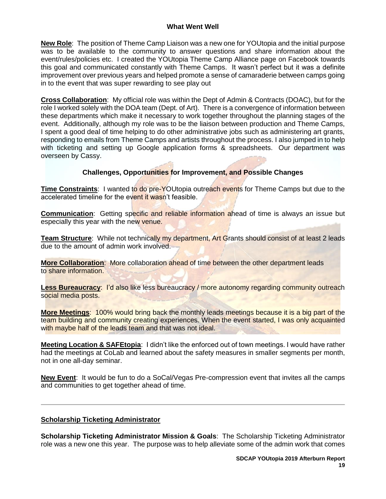#### **What Went Well**

**New Role**: The position of Theme Camp Liaison was a new one for YOUtopia and the initial purpose was to be available to the community to answer questions and share information about the event/rules/policies etc. I created the YOUtopia Theme Camp Alliance page on Facebook towards this goal and communicated constantly with Theme Camps. It wasn't perfect but it was a definite improvement over previous years and helped promote a sense of camaraderie between camps going in to the event that was super rewarding to see play out

**Cross Collaboration**: My official role was within the Dept of Admin & Contracts (DOAC), but for the role I worked solely with the DOA team (Dept. of Art). There is a convergence of information between these departments which make it necessary to work together throughout the planning stages of the event. Additionally, although my role was to be the liaison between production and Theme Camps, I spent a good deal of time helping to do other administrative jobs such as administering art grants, responding to emails from Theme Camps and artists throughout the process. I also jumped in to help with ticketing and setting up Google application forms & spreadsheets. Our department was overseen by Cassy.

### **Challenges, Opportunities for Improvement, and Possible Changes**

**Time Constraints**: I wanted to do pre-YOUtopia outreach events for Theme Camps but due to the accelerated timeline for the event it wasn't feasible.

**Communication**: Getting specific and reliable information ahead of time is always an issue but especially this year with the new venue.

**Team Structure**: While not technically my department, Art Grants should consist of at least 2 leads due to the amount of admin work involved.

**More Collaboration**: More collaboration ahead of time between the other department leads to share information.

**Less Bureaucracy: I'd also like less bureaucracy / more autonomy regarding community outreach** social media posts.

**More Meetings**: 100% would bring back the monthly leads meetings because it is a big part of the team building and community creating experiences. When the event started, I was only acquainted with maybe half of the leads team and that was not ideal.

**Meeting Location & SAFEtopia**: I didn't like the enforced out of town meetings. I would have rather had the meetings at CoLab and learned about the safety measures in smaller segments per month, not in one all-day seminar.

**New Event**: It would be fun to do a SoCal/Vegas Pre-compression event that invites all the camps and communities to get together ahead of time.

#### **Scholarship Ticketing Administrator**

**Scholarship Ticketing Administrator Mission & Goals**: The Scholarship Ticketing Administrator role was a new one this year. The purpose was to help alleviate some of the admin work that comes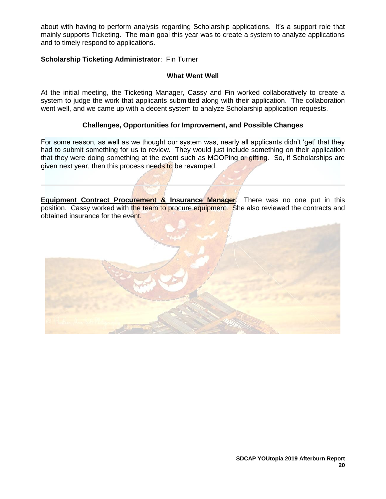about with having to perform analysis regarding Scholarship applications. It's a support role that mainly supports Ticketing. The main goal this year was to create a system to analyze applications and to timely respond to applications.

### **Scholarship Ticketing Administrator**: Fin Turner

### **What Went Well**

At the initial meeting, the Ticketing Manager, Cassy and Fin worked collaboratively to create a system to judge the work that applicants submitted along with their application. The collaboration went well, and we came up with a decent system to analyze Scholarship application requests.

### **Challenges, Opportunities for Improvement, and Possible Changes**

For some reason, as well as we thought our system was, nearly all applicants didn't 'get' that they had to submit something for us to review. They would just include something on their application that they were doing something at the event such as MOOPing or gifting. So, if Scholarships are given next year, then this process needs to be revamped.

**Equipment Contract Procurement & Insurance Manager:** There was no one put in this position. Cassy worked with the team to procure equipment. She also reviewed the contracts and obtained insurance for the event.

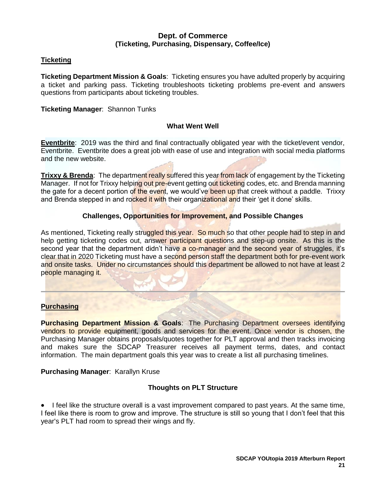### **Dept. of Commerce (Ticketing, Purchasing, Dispensary, Coffee/Ice)**

## <span id="page-22-0"></span>**Ticketing**

**Ticketing Department Mission & Goals**: Ticketing ensures you have adulted properly by acquiring a ticket and parking pass. Ticketing troubleshoots ticketing problems pre-event and answers questions from participants about ticketing troubles.

#### **Ticketing Manager**: Shannon Tunks

#### **What Went Well**

**Eventbrite**: 2019 was the third and final contractually obligated year with the ticket/event vendor, Eventbrite. Eventbrite does a great job with ease of use and integration with social media platforms and the new website.

**Trixxy & Brenda:** The department really suffered this year from lack of engagement by the Ticketing Manager. If not for Trixxy helping out pre-event getting out ticketing codes, etc. and Brenda manning the gate for a decent portion of the event, we would've been up that creek without a paddle. Trixxy and Brenda stepped in and rocked it with their organizational and their 'get it done' skills.

### **Challenges, Opportunities for Improvement, and Possible Changes**

As mentioned, Ticketing really struggled this year. So much so that other people had to step in and help getting ticketing codes out, answer participant questions and step-up onsite. As this is the second year that the department didn't have a co-manager and the second year of struggles, it's clear that in 2020 Ticketing must have a second person staff the department both for pre-event work and onsite tasks. Under no circumstances should this department be allowed to not have at least 2 people managing it.

### **Purchasing**

**Purchasing Department Mission & Goals**: The Purchasing Department oversees identifying vendors to provide equipment, goods and services for the event. Once vendor is chosen, the Purchasing Manager obtains proposals/quotes together for PLT approval and then tracks invoicing and makes sure the SDCAP Treasurer receives all payment terms, dates, and contact information. The main department goals this year was to create a list all purchasing timelines.

### **Purchasing Manager**: Karallyn Kruse

### **Thoughts on PLT Structure**

• I feel like the structure overall is a vast improvement compared to past years. At the same time, I feel like there is room to grow and improve. The structure is still so young that I don't feel that this year's PLT had room to spread their wings and fly.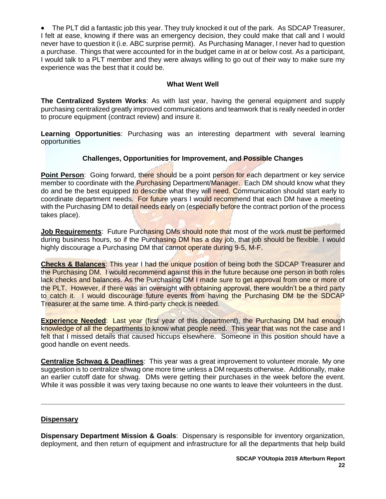• The PLT did a fantastic job this year. They truly knocked it out of the park. As SDCAP Treasurer, I felt at ease, knowing if there was an emergency decision, they could make that call and I would never have to question it (i.e. ABC surprise permit). As Purchasing Manager, I never had to question a purchase. Things that were accounted for in the budget came in at or below cost. As a participant, I would talk to a PLT member and they were always willing to go out of their way to make sure my experience was the best that it could be.

### **What Went Well**

**The Centralized System Works**: As with last year, having the general equipment and supply purchasing centralized greatly improved communications and teamwork that is really needed in order to procure equipment (contract review) and insure it.

**Learning Opportunities**: Purchasing was an interesting department with several learning opportunities

## **Challenges, Opportunities for Improvement, and Possible Changes**

**Point Person**: Going forward, there should be a point person for each department or key service member to coordinate with the **Purchasing Department/Manager.** Each DM should know what they do and be the best equipped to describe what they will need. Communication should start early to coordinate department needs. For future years I would recommend that each DM have a meeting with the Purchasing DM to detail needs early on (especially before the contract portion of the process takes place).

**Job Requirements:** Future Purchasing DMs should note that most of the work must be performed during business hours, so if the Purchasing DM has a day job, that job should be flexible. I would highly discourage a Purchasing DM that cannot operate during 9-5, M-F.

**Checks & Balances**: This year I had the unique position of being both the SDCAP Treasurer and the Purchasing DM. I would recommend against this in the future because one person in both roles lack checks and balances. As the Purchasing DM I made sure to get approval from one or more of the PLT. However, if there was an oversight with obtaining approval, there wouldn't be a third party to catch it. I would discourage future events from having the Purchasing DM be the SDCAP Treasurer at the same time. A third-party check is needed.

**Experience Needed:** Last year (first year of this department), the Purchasing DM had enough knowledge of all the departments to know what people need. This year that was not the case and I felt that I missed details that caused hiccups elsewhere. Someone in this position should have a good handle on event needs.

**Centralize Schwag & Deadlines**: This year was a great improvement to volunteer morale. My one suggestion is to centralize shwag one more time unless a DM requests otherwise. Additionally, make an earlier cutoff date for shwag. DMs were getting their purchases in the week before the event. While it was possible it was very taxing because no one wants to leave their volunteers in the dust.

### **Dispensary**

**Dispensary Department Mission & Goals**: Dispensary is responsible for inventory organization, deployment, and then return of equipment and infrastructure for all the departments that help build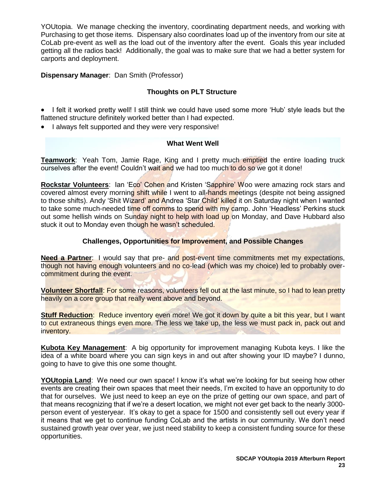YOUtopia. We manage checking the inventory, coordinating department needs, and working with Purchasing to get those items. Dispensary also coordinates load up of the inventory from our site at CoLab pre-event as well as the load out of the inventory after the event. Goals this year included getting all the radios back! Additionally, the goal was to make sure that we had a better system for carports and deployment.

## **Dispensary Manager**: Dan Smith (Professor)

## **Thoughts on PLT Structure**

• I felt it worked pretty well! I still think we could have used some more 'Hub' style leads but the flattened structure definitely worked better than I had expected.

• I always felt supported and they were very responsive!

#### **What Went Well**

**Teamwork**: Yeah Tom, Jamie Rage, King and I pretty much emptied the entire loading truck ourselves after the event! Couldn't wait and we had too much to do so we got it done!

**Rockstar Volunteers**: Ian 'Eco' Cohen and Kristen 'Sapphire' Woo were amazing rock stars and covered almost every morning shift while I went to all-hands meetings (despite not being assigned to those shifts). Andy 'Shit Wizard' and Andrea 'Star Child' killed it on Saturday night when I wanted to take some much-needed time off comms to spend with my camp. John 'Headless' Perkins stuck out some hellish winds on Sunday night to help with load up on Monday, and Dave Hubbard also stuck it out to Monday even though he wasn't scheduled.

## **Challenges, Opportunities for Improvement, and Possible Changes**

**Need a Partner:** I would say that pre- and post-event time commitments met my expectations, though not having enough volunteers and no co-lead (which was my choice) led to probably overcommitment during the event.

**Volunteer Shortfall**: For some reasons, volunteers fell out at the last minute, so I had to lean pretty heavily on a core group that really went above and beyond.

**Stuff Reduction:** Reduce inventory even more! We got it down by quite a bit this year, but I want to cut extraneous things even more. The less we take up, the less we must pack in, pack out and inventory.

**Kubota Key Management**: A big opportunity for improvement managing Kubota keys. I like the idea of a white board where you can sign keys in and out after showing your ID maybe? I dunno, going to have to give this one some thought.

**YOUtopia Land**: We need our own space! I know it's what we're looking for but seeing how other events are creating their own spaces that meet their needs, I'm excited to have an opportunity to do that for ourselves. We just need to keep an eye on the prize of getting our own space, and part of that means recognizing that if we're a desert location, we might not ever get back to the nearly 3000 person event of yesteryear. It's okay to get a space for 1500 and consistently sell out every year if it means that we get to continue funding CoLab and the artists in our community. We don't need sustained growth year over year, we just need stability to keep a consistent funding source for these opportunities.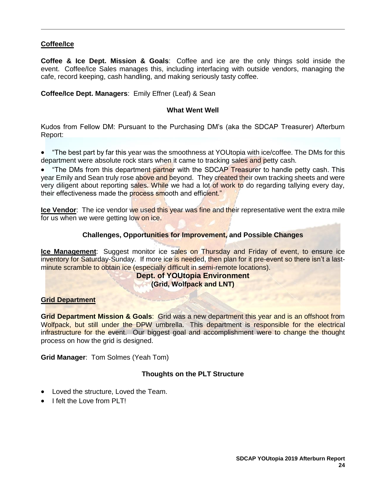## **Coffee/Ice**

**Coffee & Ice Dept. Mission & Goals**: Coffee and ice are the only things sold inside the event. Coffee/Ice Sales manages this, including interfacing with outside vendors, managing the cafe, record keeping, cash handling, and making seriously tasty coffee.

**Coffee/Ice Dept. Managers**: Emily Effner (Leaf) & Sean

#### **What Went Well**

Kudos from Fellow DM: Pursuant to the Purchasing DM's (aka the SDCAP Treasurer) Afterburn Report:

• "The best part by far this year was the smoothness at YOUtopia with ice/coffee. The DMs for this department were absolute rock stars when it came to tracking sales and petty cash.

**The DMs from this department partner with the SDCAP Treasurer to handle petty cash. This** year Emily and Sean truly rose above and beyond. They created their own tracking sheets and were very diligent about reporting sales. While we had a lot of work to do regarding tallying every day, their effectiveness made the process smooth and efficient."

**Ice Vendor**: The ice vendor we used this year was fine and their representative went the extra mile for us when we were getting low on ice.

#### **Challenges, Opportunities for Improvement, and Possible Changes**

<span id="page-25-0"></span>**Ice Management**: Suggest monitor ice sales on Thursday and Friday of event, to ensure ice inventory for Saturday-Sunday. If more ice is needed, then plan for it pre-event so there isn't a lastminute scramble to obtain ice (especially difficult in semi-remote locations).

#### **Dept. of YOUtopia Environment (Grid, Wolfpack and LNT)**

### **Grid Department**

**Grid Department Mission & Goals**: Grid was a new department this year and is an offshoot from Wolfpack, but still under the DPW umbrella. This department is responsible for the electrical infrastructure for the event. Our biggest goal and accomplishment were to change the thought process on how the grid is designed.

**Grid Manager**: Tom Solmes (Yeah Tom)

### **Thoughts on the PLT Structure**

- Loved the structure, Loved the Team.
- I felt the Love from PLT!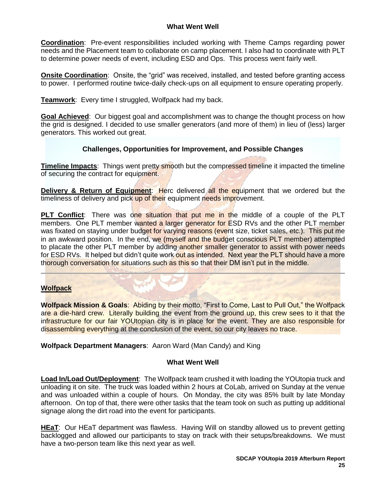### **What Went Well**

**Coordination**: Pre-event responsibilities included working with Theme Camps regarding power needs and the Placement team to collaborate on camp placement. I also had to coordinate with PLT to determine power needs of event, including ESD and Ops. This process went fairly well.

**Onsite Coordination**: Onsite, the "grid" was received, installed, and tested before granting access to power. I performed routine twice-daily check-ups on all equipment to ensure operating properly.

**Teamwork**: Every time I struggled, Wolfpack had my back.

**Goal Achieved**: Our biggest goal and accomplishment was to change the thought process on how the grid is designed. I decided to use smaller generators (and more of them) in lieu of (less) larger generators. This worked out great.

### **Challenges, Opportunities for Improvement, and Possible Changes**

**Timeline Impacts**: Things went pretty smooth but the compressed timeline it impacted the timeline of securing the contract for equipment.

**Delivery & Return of Equipment:** Herc delivered all the equipment that we ordered but the timeliness of delivery and pick up of their equipment needs improvement.

**PLT Conflict:** There was one situation that put me in the middle of a couple of the PLT members. One PLT member wanted a larger generator for ESD RVs and the other PLT member was fixated on staying under budget for varying reasons (event size, ticket sales, etc.). This put me in an awkward position. In the end, we (myself and the budget conscious PLT member) attempted to placate the other PLT member by adding another smaller generator to assist with power needs for ESD RVs. It helped but didn't quite work out as intended. Next year the PLT should have a more thorough conversation for situations such as this so that their DM isn't put in the middle.

### **Wolfpack**

**Wolfpack Mission & Goals**: Abiding by their motto, "First to Come, Last to Pull Out," the Wolfpack are a die-hard crew. Literally building the event from the ground up, this crew sees to it that the infrastructure for our fair YOUtopian city is in place for the event. They are also responsible for disassembling everything at the conclusion of the event, so our city leaves no trace.

**Wolfpack Department Managers**: Aaron Ward (Man Candy) and King

### **What Went Well**

**Load In/Load Out/Deployment**: The Wolfpack team crushed it with loading the YOUtopia truck and unloading it on site. The truck was loaded within 2 hours at CoLab, arrived on Sunday at the venue and was unloaded within a couple of hours. On Monday, the city was 85% built by late Monday afternoon. On top of that, there were other tasks that the team took on such as putting up additional signage along the dirt road into the event for participants.

**HEaT**: Our HEaT department was flawless. Having Will on standby allowed us to prevent getting backlogged and allowed our participants to stay on track with their setups/breakdowns. We must have a two-person team like this next year as well.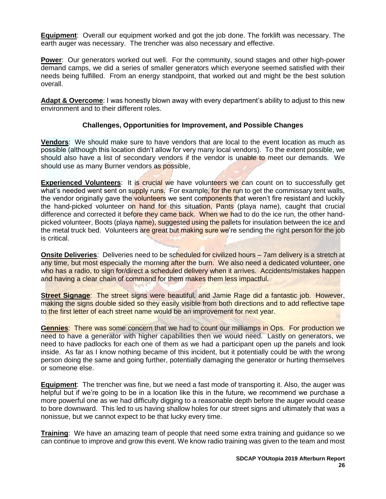**Equipment**: Overall our equipment worked and got the job done. The forklift was necessary. The earth auger was necessary. The trencher was also necessary and effective.

**Power**: Our generators worked out well. For the community, sound stages and other high-power demand camps, we did a series of smaller generators which everyone seemed satisfied with their needs being fulfilled. From an energy standpoint, that worked out and might be the best solution overall.

**Adapt & Overcome**: I was honestly blown away with every department's ability to adjust to this new environment and to their different roles.

### **Challenges, Opportunities for Improvement, and Possible Changes**

**Vendors**: We should make sure to have vendors that are local to the event location as much as possible (although this location didn't allow for very many local vendors). To the extent possible, we should also have a list of secondary vendors if the vendor is unable to meet our demands. We should use as many Burner vendors as possible,

**Experienced Volunteers:** It is crucial we have volunteers we can count on to successfully get what's needed went sent on supply runs. For example, for the run to get the commissary tent walls, the vendor originally gave the volunteers we sent components that weren't fire resistant and luckily the hand-picked volunteer on hand for this situation, Pants (playa name), caught that crucial difference and corrected it before they came back. When we had to do the ice run, the other handpicked volunteer, Boots (playa name), suggested using the pallets for insulation between the ice and the metal truck bed. Volunteers are great but making sure we're sending the right person for the job is critical.

**Onsite Deliveries**: Deliveries need to be scheduled for civilized hours – 7am delivery is a stretch at any time, but most especially the morning after the burn. We also need a dedicated volunteer, one who has a radio, to sign for/direct a scheduled delivery when it arrives. Accidents/mistakes happen and having a clear chain of command for them makes them less impactful.

**Street Signage**: The street signs were beautiful, and Jamie Rage did a fantastic job. However, making the signs double sided so they easily visible from both directions and to add reflective tape to the first letter of each street name would be an improvement for next year.

**Gennies**: There was some concern that we had to count our milliamps in Ops. For production we need to have a generator with higher capabilities then we would need. Lastly on generators, we need to have padlocks for each one of them as we had a participant open up the panels and look inside. As far as I know nothing became of this incident, but it potentially could be with the wrong person doing the same and going further, potentially damaging the generator or hurting themselves or someone else.

**Equipment**: The trencher was fine, but we need a fast mode of transporting it. Also, the auger was helpful but if we're going to be in a location like this in the future, we recommend we purchase a more powerful one as we had difficulty digging to a reasonable depth before the auger would cease to bore downward. This led to us having shallow holes for our street signs and ultimately that was a nonissue, but we cannot expect to be that lucky every time.

**Training**: We have an amazing team of people that need some extra training and guidance so we can continue to improve and grow this event. We know radio training was given to the team and most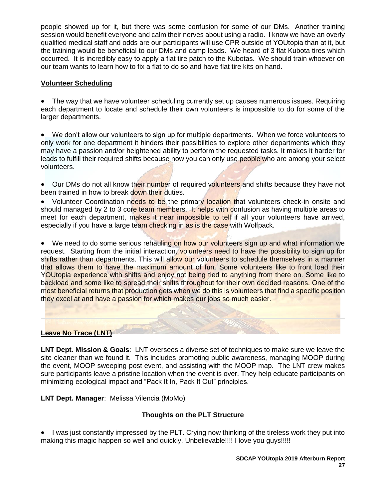people showed up for it, but there was some confusion for some of our DMs. Another training session would benefit everyone and calm their nerves about using a radio. I know we have an overly qualified medical staff and odds are our participants will use CPR outside of YOUtopia than at it, but the training would be beneficial to our DMs and camp leads. We heard of 3 flat Kubota tires which occurred. It is incredibly easy to apply a flat tire patch to the Kubotas. We should train whoever on our team wants to learn how to fix a flat to do so and have flat tire kits on hand.

## **Volunteer Scheduling**

• The way that we have volunteer scheduling currently set up causes numerous issues. Requiring each department to locate and schedule their own volunteers is impossible to do for some of the larger departments.

• We don't allow our volunteers to sign up for multiple departments. When we force volunteers to only work for one department it hinders their possibilities to explore other departments which they may have a passion and/or heightened ability to perform the requested tasks. It makes it harder for leads to fulfill their required shifts because now you can only use people who are among your select volunteers.

• Our DMs do not all know their number of required volunteers and shifts because they have not been trained in how to break down their duties.

• Volunteer Coordination needs to be the primary location that volunteers check-in onsite and should managed by 2 to 3 core team members. It helps with confusion as having multiple areas to meet for each department, makes it near impossible to tell if all your volunteers have arrived, especially if you have a large team checking in as is the case with Wolfpack.

• We need to do some serious rehauling on how our volunteers sign up and what information we request. Starting from the initial interaction, volunteers need to have the possibility to sign up for shifts rather than departments. This will allow our volunteers to schedule themselves in a manner that allows them to have the maximum amount of fun. Some volunteers like to front load their YOUtopia experience with shifts and enjoy not being tied to anything from there on. Some like to backload and some like to spread their shifts throughout for their own decided reasons. One of the most beneficial returns that production gets when we do this is volunteers that find a specific position they excel at and have a passion for which makes our jobs so much easier.

### **Leave No Trace (LNT)**

**LNT Dept. Mission & Goals**: LNT oversees a diverse set of techniques to make sure we leave the site cleaner than we found it. This includes promoting public awareness, managing MOOP during the event, MOOP sweeping post event, and assisting with the MOOP map. The LNT crew makes sure participants leave a pristine location when the event is over. They help educate participants on minimizing ecological impact and "Pack It In, Pack It Out" principles.

**LNT Dept. Manager**: Melissa Vilencia (MoMo)

## **Thoughts on the PLT Structure**

• I was just constantly impressed by the PLT. Crying now thinking of the tireless work they put into making this magic happen so well and quickly. Unbelievable!!!! I love you guys!!!!!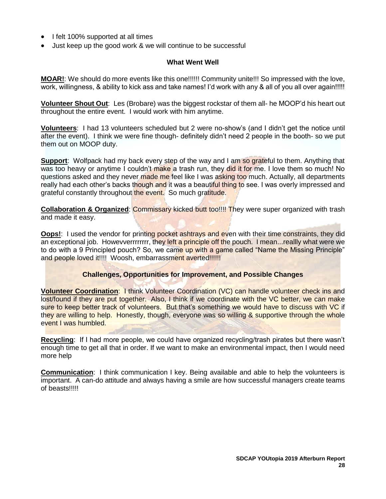- I felt 100% supported at all times
- Just keep up the good work & we will continue to be successful

### **What Went Well**

**MOAR!**: We should do more events like this one!!!!!! Community unite!!! So impressed with the love, work, willingness, & ability to kick ass and take names! I'd work with any & all of you all over again!!!!!

**Volunteer Shout Out**: Les (Brobare) was the biggest rockstar of them all- he MOOP'd his heart out throughout the entire event. I would work with him anytime.

**Volunteers**: I had 13 volunteers scheduled but 2 were no-show's (and I didn't get the notice until after the event). I think we were fine though- definitely didn't need 2 people in the booth- so we put them out on MOOP duty.

**Support**: Wolfpack had my back every step of the way and I am so grateful to them. Anything that was too heavy or anytime I couldn't make a trash run, they did it for me. I love them so much! No questions asked and they never made me feel like I was asking too much. Actually, all departments really had each other's backs though and it was a beautiful thing to see. I was overly impressed and grateful constantly throughout the event. So much gratitude.

**Collaboration & Organized: Commissary kicked butt too!!!! They were super organized with trash** and made it easy.

**Oops!:** I used the vendor for printing pocket ashtrays and even with their time constraints, they did an exceptional job. Howevverrrrrrrr, they left a principle off the pouch. I mean... reallly what were we to do with a 9 Principled pouch? So, we came up with a game called "Name the Missing Principle" and people loved it!!!! Woosh, embarrassment averted!!!!!!

### **Challenges, Opportunities for Improvement, and Possible Changes**

**Volunteer Coordination**: I think Volunteer Coordination (VC) can handle volunteer check ins and lost/found if they are put together. Also, I think if we coordinate with the VC better, we can make sure to keep better track of volunteers. But that's something we would have to discuss with VC if they are willing to help. Honestly, though, everyone was so willing & supportive through the whole event I was humbled.

**Recycling**: If I had more people, we could have organized recycling/trash pirates but there wasn't enough time to get all that in order. If we want to make an environmental impact, then I would need more help

**Communication**: I think communication I key. Being available and able to help the volunteers is important. A can-do attitude and always having a smile are how successful managers create teams of beasts!!!!!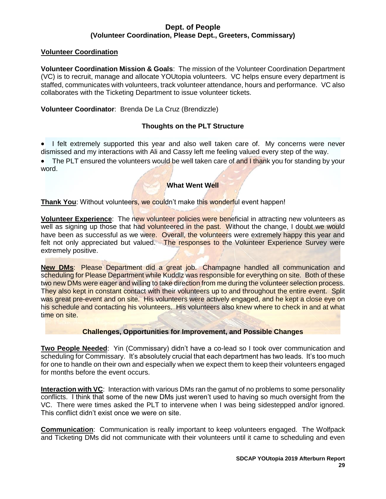### **Dept. of People (Volunteer Coordination, Please Dept., Greeters, Commissary)**

### <span id="page-30-0"></span>**Volunteer Coordination**

**Volunteer Coordination Mission & Goals**: The mission of the Volunteer Coordination Department (VC) is to recruit, manage and allocate YOUtopia volunteers. VC helps ensure every department is staffed, communicates with volunteers, track volunteer attendance, hours and performance. VC also collaborates with the Ticketing Department to issue volunteer tickets.

## **Volunteer Coordinator**: Brenda De La Cruz (Brendizzle)

## **Thoughts on the PLT Structure**

• I felt extremely supported this year and also well taken care of. My concerns were never dismissed and my interactions with Ali and Cassy left me feeling valued every step of the way.

• The PLT ensured the volunteers would be well taken care of and I thank you for standing by your word.

## **What Went Well**

**Thank You**: Without volunteers, we couldn't make this wonderful event happen!

**Volunteer Experience**: The new volunteer policies were beneficial in attracting new volunteers as well as signing up those that had volunteered in the past. Without the change, I doubt we would have been as successful as we were. Overall, the volunteers were extremely happy this year and felt not only appreciated but valued. The responses to the Volunteer Experience Survey were extremely positive.

**New DMs**: Please Department did a great job. Champagne handled all communication and scheduling for Please Department while Kuddlz was responsible for everything on site. Both of these two new DMs were eager and willing to take direction from me during the volunteer selection process. They also kept in constant contact with their volunteers up to and throughout the entire event. Split was great pre-event and on site. His volunteers were actively engaged, and he kept a close eye on his schedule and contacting his volunteers. His volunteers also knew where to check in and at what time on site.

### **Challenges, Opportunities for Improvement, and Possible Changes**

**Two People Needed**: Yin (Commissary) didn't have a co-lead so I took over communication and scheduling for Commissary. It's absolutely crucial that each department has two leads. It's too much for one to handle on their own and especially when we expect them to keep their volunteers engaged for months before the event occurs.

**Interaction with VC**: Interaction with various DMs ran the gamut of no problems to some personality conflicts. I think that some of the new DMs just weren't used to having so much oversight from the VC. There were times asked the PLT to intervene when I was being sidestepped and/or ignored. This conflict didn't exist once we were on site.

**Communication**: Communication is really important to keep volunteers engaged. The Wolfpack and Ticketing DMs did not communicate with their volunteers until it came to scheduling and even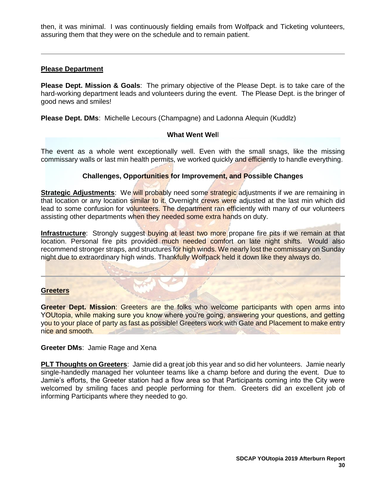then, it was minimal. I was continuously fielding emails from Wolfpack and Ticketing volunteers, assuring them that they were on the schedule and to remain patient.

#### **Please Department**

**Please Dept. Mission & Goals**: The primary objective of the Please Dept. is to take care of the hard-working department leads and volunteers during the event. The Please Dept. is the bringer of good news and smiles!

**Please Dept. DMs**: Michelle Lecours (Champagne) and Ladonna Alequin (Kuddlz)

#### **What Went Wel**l

The event as a whole went exceptionally well. Even with the small snags, like the missing commissary walls or last min health permits, we worked quickly and efficiently to handle everything.

#### **Challenges, Opportunities for Improvement, and Possible Changes**

**Strategic Adjustments:** We will probably need some strategic adjustments if we are remaining in that location or any location similar to it. Overnight crews were adjusted at the last min which did lead to some confusion for volunteers. The department ran efficiently with many of our volunteers assisting other departments when they needed some extra hands on duty.

**Infrastructure**: Strongly suggest buying at least two more propane fire pits if we remain at that location. Personal fire pits provided much needed comfort on late night shifts. Would also recommend stronger straps, and structures for high winds. We nearly lost the commissary on Sunday night due to extraordinary high winds. Thankfully Wolfpack held it down like they always do.

#### **Greeters**

**Greeter Dept. Mission**: Greeters are the folks who welcome participants with open arms into YOUtopia, while making sure you know where you're going, answering your questions, and getting you to your place of party as fast as possible! Greeters work with Gate and Placement to make entry nice and smooth.

#### **Greeter DMs**: Jamie Rage and Xena

<span id="page-31-0"></span>**PLT Thoughts on Greeters**: Jamie did a great job this year and so did her volunteers. Jamie nearly single-handedly managed her volunteer teams like a champ before and during the event. Due to Jamie's efforts, the Greeter station had a flow area so that Participants coming into the City were welcomed by smiling faces and people performing for them. Greeters did an excellent job of informing Participants where they needed to go.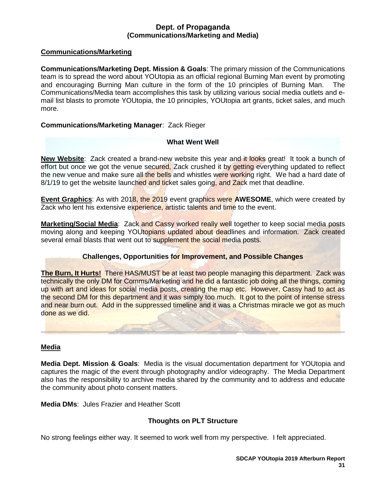### **Dept. of Propaganda (Communications/Marketing and Media)**

### **Communications/Marketing**

**Communications/Marketing Dept. Mission & Goals**: The primary mission of the Communications team is to spread the word about YOUtopia as an official regional Burning Man event by promoting and encouraging Burning Man culture in the form of the 10 principles of Burning Man. The Communications/Media team accomplishes this task by utilizing various social media outlets and email list blasts to promote YOUtopia, the 10 principles, YOUtopia art grants, ticket sales, and much more.

### **Communications/Marketing Manager**: Zack Rieger

#### **What Went Well**

**New Website**: Zack created a brand-new website this year and it looks great! It took a bunch of effort but once we got the venue secured, Zack crushed it by getting everything updated to reflect the new venue and make sure all the bells and whistles were working right. We had a hard date of 8/1/19 to get the website launched and ticket sales going, and Zack met that deadline.

**Event Graphics**: As with 2018, the 2019 event graphics were **AWESOME**, which were created by Zack who lent his extensive experience, artistic talents and time to the event.

**Marketing/Social Media:** Zack and Cassy worked really well together to keep social media posts moving along and keeping YOUtopians updated about deadlines and information. Zack created several email blasts that went out to supplement the social media posts.

### **Challenges, Opportunities for Improvement, and Possible Changes**

**The Burn, It Hurts!** There HAS/MUST be at least two people managing this department. Zack was technically the only DM for Comms/Marketing and he did a fantastic job doing all the things, coming up with art and ideas for social media posts, creating the map etc. However, Cassy had to act as the second DM for this department and it was simply too much. It got to the point of intense stress and near burn out. Add in the suppressed timeline and it was a Christmas miracle we got as much done as we did.

#### **Media**

**Media Dept. Mission & Goals**: Media is the visual documentation department for YOUtopia and captures the magic of the event through photography and/or videography. The Media Department also has the responsibility to archive media shared by the community and to address and educate the community about photo consent matters.

**Media DMs**: Jules Frazier and Heather Scott

### **Thoughts on PLT Structure**

No strong feelings either way. It seemed to work well from my perspective. I felt appreciated.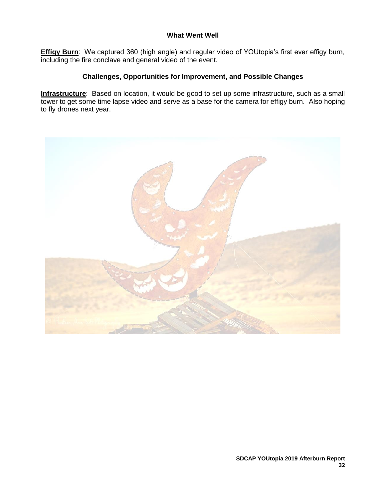### **What Went Well**

**Effigy Burn**: We captured 360 (high angle) and regular video of YOUtopia's first ever effigy burn, including the fire conclave and general video of the event.

## **Challenges, Opportunities for Improvement, and Possible Changes**

**Infrastructure**: Based on location, it would be good to set up some infrastructure, such as a small tower to get some time lapse video and serve as a base for the camera for effigy burn. Also hoping to fly drones next year.

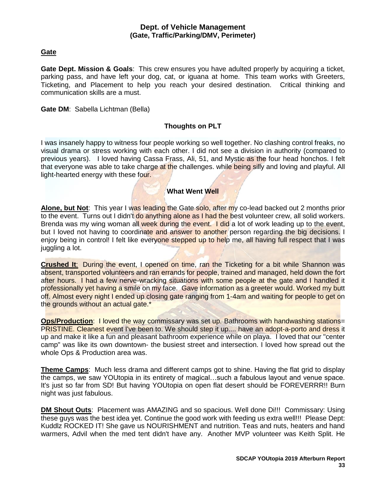#### **Dept. of Vehicle Management (Gate, Traffic/Parking/DMV, Perimeter)**

### <span id="page-34-0"></span>**Gate**

**Gate Dept. Mission & Goals**: This crew ensures you have adulted properly by acquiring a ticket, parking pass, and have left your dog, cat, or iguana at home. This team works with Greeters, Ticketing, and Placement to help you reach your desired destination. Critical thinking and communication skills are a must.

#### **Gate DM**: Sabella Lichtman (Bella)

### **Thoughts on PLT**

I was insanely happy to witness four people working so well together. No clashing control freaks, no visual drama or stress working with each other. I did not see a division in authority (compared to previous years). I loved having Cassa Frass, Ali, 51, and Mystic as the four head honchos. I felt that everyone was able to take charge at the challenges. while being silly and loving and playful. All light-hearted energy with these four.

#### **What Went Well**

Alone, but Not: This year I was leading the Gate solo, after my co-lead backed out 2 months prior to the event. Turns out I didn't do anything alone as I had the best volunteer crew, all solid workers. Brenda was my wing woman all week during the event. I did a lot of work leading up to the event, but I loved not having to coordinate and answer to another person regarding the big decisions. I enjoy being in control! I felt like everyone stepped up to help me, all having full respect that I was juggling a lot.

**Crushed It**: During the event, I opened on time, ran the Ticketing for a bit while Shannon was absent, transported volunteers and ran errands for people, trained and managed, held down the fort after hours. I had a few nerve-wracking situations with some people at the gate and I handled it professionally yet having a smile on my face. Gave information as a greeter would. Worked my butt off. Almost every night I ended up closing gate ranging from 1-4am and waiting for people to get on the grounds without an actual gate.\*

**Ops/Production:** I loved the way commissary was set up. Bathrooms with handwashing stations= PRISTINE. Cleanest event I've been to. We should step it up.... have an adopt-a-porto and dress it up and make it like a fun and pleasant bathroom experience while on playa. I loved that our "center camp" was like its own downtown- the busiest street and intersection. I loved how spread out the whole Ops & Production area was.

**Theme Camps**: Much less drama and different camps got to shine. Having the flat grid to display the camps, we saw YOUtopia in its entirety of magical…such a fabulous layout and venue space. It's just so far from SD! But having YOUtopia on open flat desert should be FOREVERRR!! Burn night was just fabulous.

**DM Shout Outs**: Placement was AMAZING and so spacious. Well done Di!!! Commissary: Using these guys was the best idea yet. Continue the good work with feeding us extra well!!! Please Dept: Kuddlz ROCKED IT! She gave us NOURISHMENT and nutrition. Teas and nuts, heaters and hand warmers, Advil when the med tent didn't have any. Another MVP volunteer was Keith Split. He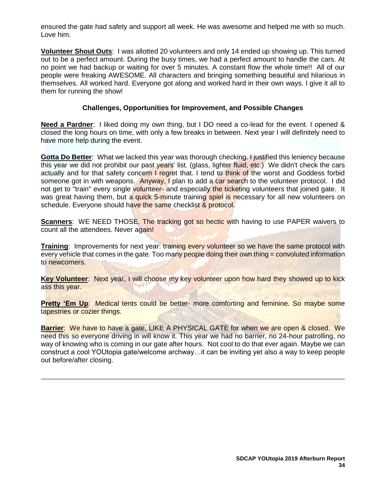ensured the gate had safety and support all week. He was awesome and helped me with so much. Love him.

**Volunteer Shout Outs**: I was allotted 20 volunteers and only 14 ended up showing up. This turned out to be a perfect amount. During the busy times, we had a perfect amount to handle the cars. At no point we had backup or waiting for over 5 minutes. A constant flow the whole time!! All of our people were freaking AWESOME. All characters and bringing something beautiful and hilarious in themselves. All worked hard. Everyone got along and worked hard in their own ways. I give it all to them for running the show!

### **Challenges, Opportunities for Improvement, and Possible Changes**

**Need a Pardner**: I liked doing my own thing, but I DO need a co-lead for the event. I opened & closed the long hours on time, with only a few breaks in between. Next year I will definitely need to have more help during the event.

**Gotta Do Better**: What we lacked this year was thorough checking. I justified this leniency because this year we did not prohibit our past years' list. (glass, lighter fluid, etc.) We didn't check the cars actually and for that safety concern I regret that. I tend to think of the worst and Goddess forbid someone got in with weapons. Anyway, I plan to add a car search to the volunteer protocol. I did not get to "train" every single volunteer- and especially the ticketing volunteers that joined gate. It was great having them, but a quick 5-minute training spiel is necessary for all new volunteers on schedule. Everyone should have the same checklist & protocol.

**Scanners**: WE NEED THOSE. The tracking got so hectic with having to use PAPER waivers to count all the attendees. Never again!

**Training**: Improvements for next year: training every volunteer so we have the same protocol with every vehicle that comes in the gate. Too many people doing their own thing = convoluted information to newcomers.

**Key Volunteer**: Next year, I will choose my key volunteer upon how hard they showed up to kick ass this year.

**Pretty 'Em Up:** Medical tents could be better- more comforting and feminine. So maybe some tapestries or cozier things.

**Barrier**: We have to have a gate, LIKE A PHYSICAL GATE for when we are open & closed. We need this so everyone driving in will know it. This year we had no barrier, no 24-hour patrolling, no way of knowing who is coming in our gate after hours. Not cool to do that ever again. Maybe we can construct a cool YOUtopia gate/welcome archway…it can be inviting yet also a way to keep people out before/after closing.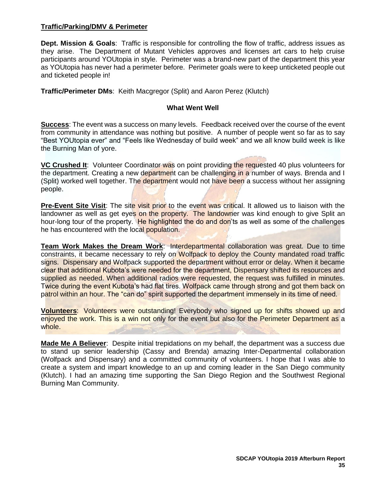#### **Traffic/Parking/DMV & Perimeter**

**Dept. Mission & Goals**: Traffic is responsible for controlling the flow of traffic, address issues as they arise. The Department of Mutant Vehicles approves and licenses art cars to help cruise participants around YOUtopia in style. Perimeter was a brand-new part of the department this year as YOUtopia has never had a perimeter before. Perimeter goals were to keep unticketed people out and ticketed people in!

**Traffic/Perimeter DMs**: Keith Macgregor (Split) and Aaron Perez (Klutch)

#### **What Went Well**

**Success**: The event was a success on many levels. Feedback received over the course of the event from community in attendance was nothing but positive. A number of people went so far as to say "Best YOUtopia ever" and "Feels like Wednesday of build week" and we all know build week is like the Burning Man of yore.

**VC Crushed It**: Volunteer Coordinator was on point providing the requested 40 plus volunteers for the department. Creating a new department can be challenging in a number of ways. Brenda and I (Split) worked well together. The department would not have been a success without her assigning people.

**Pre-Event Site Visit**: The site visit prior to the event was critical. It allowed us to liaison with the landowner as well as get eyes on the property. The landowner was kind enough to give Split an hour-long tour of the property. He highlighted the do and don'ts as well as some of the challenges he has encountered with the local population.

**Team Work Makes the Dream Work**: Interdepartmental collaboration was great. Due to time constraints, it became necessary to rely on Wolfpack to deploy the County mandated road traffic signs. Dispensary and Wolfpack supported the department without error or delay. When it became clear that additional Kubota's were needed for the department, Dispensary shifted its resources and supplied as needed. When additional radios were requested, the request was fulfilled in minutes. Twice during the event Kubota's had flat tires. Wolfpack came through strong and got them back on patrol within an hour. The "can do" spirit supported the department immensely in its time of need.

**Volunteers**: Volunteers were outstanding! Everybody who signed up for shifts showed up and enjoyed the work. This is a win not only for the event but also for the Perimeter Department as a whole.

**Made Me A Believer**: Despite initial trepidations on my behalf, the department was a success due to stand up senior leadership (Cassy and Brenda) amazing Inter-Departmental collaboration (Wolfpack and Dispensary) and a committed community of volunteers. I hope that I was able to create a system and impart knowledge to an up and coming leader in the San Diego community (Klutch). I had an amazing time supporting the San Diego Region and the Southwest Regional Burning Man Community.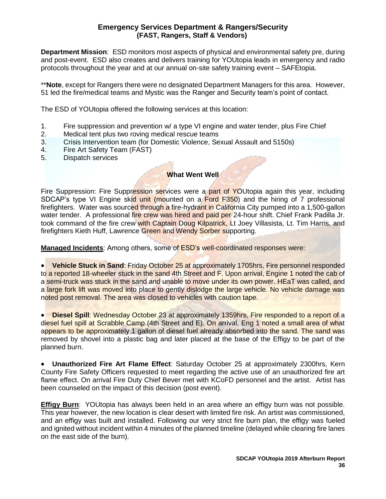## **Emergency Services Department & Rangers/Security (FAST, Rangers, Staff & Vendors)**

<span id="page-37-0"></span>**Department Mission**: ESD monitors most aspects of physical and environmental safety pre, during and post-event. ESD also creates and delivers training for YOUtopia leads in emergency and radio protocols throughout the year and at our annual on-site safety training event – SAFEtopia.

\*\***Note**, except for Rangers there were no designated Department Managers for this area. However, 51 led the fire/medical teams and Mystic was the Ranger and Security team's point of contact.

The ESD of YOUtopia offered the following services at this location:

- 1. Fire suppression and prevention w/ a type VI engine and water tender, plus Fire Chief
- 2. Medical tent plus two roving medical rescue teams
- 3. Crisis Intervention team (for Domestic Violence, Sexual Assault and 5150s)
- 4. Fire Art Safety Team (FAST)
- 5. Dispatch services

#### **What Went Well**

Fire Suppression: Fire Suppression services were a part of YOUtopia again this year, including SDCAP's type VI Engine skid unit (mounted on a Ford F350) and the hiring of 7 professional firefighters. Water was sourced through a fire-hydrant in California City pumped into a 1,500-gallon water tender. A professional fire crew was hired and paid per 24-hour shift. Chief Frank Padilla Jr. took command of the fire crew with Captain Doug Kilpatrick, Lt Joey Villasista, Lt. Tim Harris, and firefighters Kieth Huff, Lawrence Green and Wendy Sorber supporting.

**Managed Incidents**: Among others, some of ESD's well-coordinated responses were:

• **Vehicle Stuck in Sand**: Friday October 25 at approximately 1705hrs, Fire personnel responded to a reported 18-wheeler stuck in the sand 4th Street and F. Upon arrival, Engine 1 noted the cab of a semi-truck was stuck in the sand and unable to move under its own power. HEaT was called, and a large fork lift was moved into place to gently dislodge the large vehicle. No vehicle damage was noted post removal. The area was closed to vehicles with caution tape.

• **Diesel Spill**: Wednesday October 23 at approximately 1359hrs, Fire responded to a report of a diesel fuel spill at Scrabble Camp (4th Street and E). On arrival, Eng 1 noted a small area of what appears to be approximately 1 gallon of diesel fuel already absorbed into the sand. The sand was removed by shovel into a plastic bag and later placed at the base of the Effigy to be part of the planned burn.

• **Unauthorized Fire Art Flame Effect**: Saturday October 25 at approximately 2300hrs, Kern County Fire Safety Officers requested to meet regarding the active use of an unauthorized fire art flame effect. On arrival Fire Duty Chief Bever met with KCoFD personnel and the artist. Artist has been counseled on the impact of this decision (post event).

**Effigy Burn**: YOUtopia has always been held in an area where an effigy burn was not possible. This year however, the new location is clear desert with limited fire risk. An artist was commissioned, and an effigy was built and installed. Following our very strict fire burn plan, the effigy was fueled and ignited without incident within 4 minutes of the planned timeline (delayed while clearing fire lanes on the east side of the burn).